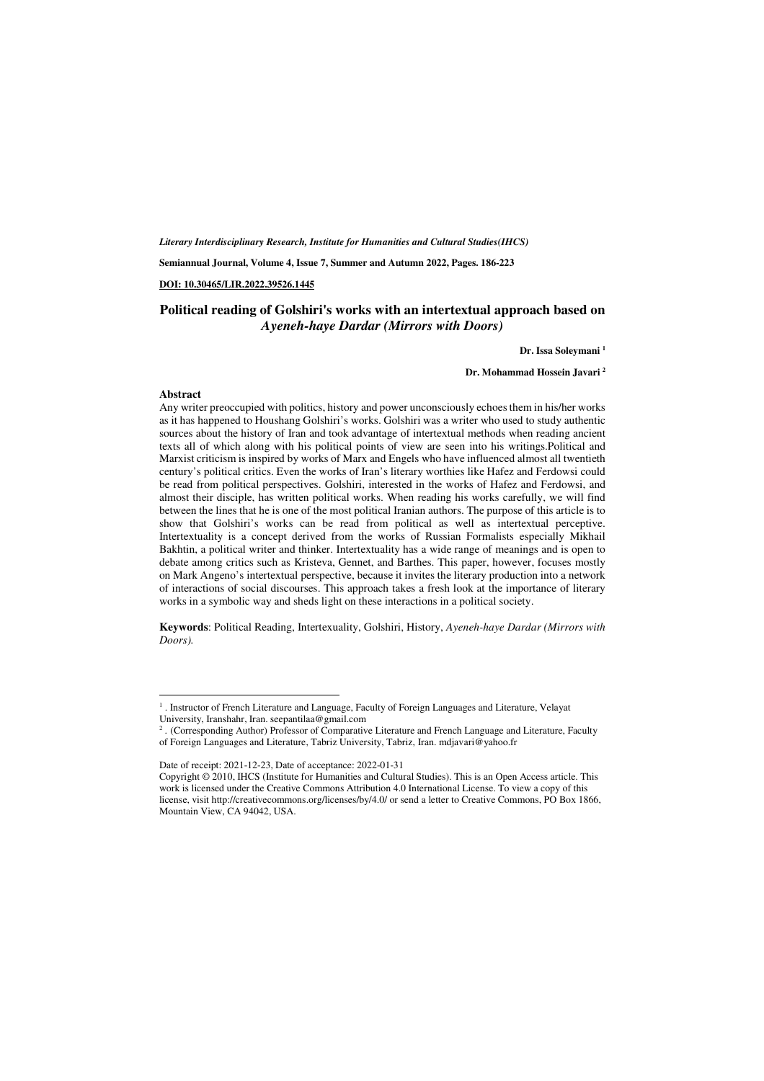*Literary Interdisciplinary Research, Institute for Humanities and Cultural Studies(IHCS)* 

**Semiannual Journal, Volume 4, Issue 7, Summer and Autumn 2022, Pages. 186-223** 

#### **DOI: 10.30465/LIR.2022.39526.1445**

#### **Political reading of Golshiri's works with an intertextual approach based on**  *Ayeneh-haye Dardar (Mirrors with Doors)*

#### **Dr. Issa Soleymani <sup>1</sup>**

**Dr. Mohammad Hossein Javari <sup>2</sup>**

#### **Abstract**

l,

Any writer preoccupied with politics, history and power unconsciously echoes them in his/her works as it has happened to Houshang Golshiri's works. Golshiri was a writer who used to study authentic sources about the history of Iran and took advantage of intertextual methods when reading ancient texts all of which along with his political points of view are seen into his writings.Political and Marxist criticism is inspired by works of Marx and Engels who have influenced almost all twentieth century's political critics. Even the works of Iran's literary worthies like Hafez and Ferdowsi could be read from political perspectives. Golshiri, interested in the works of Hafez and Ferdowsi, and almost their disciple, has written political works. When reading his works carefully, we will find between the lines that he is one of the most political Iranian authors. The purpose of this article is to show that Golshiri's works can be read from political as well as intertextual perceptive. Intertextuality is a concept derived from the works of Russian Formalists especially Mikhail Bakhtin, a political writer and thinker. Intertextuality has a wide range of meanings and is open to debate among critics such as Kristeva, Gennet, and Barthes. This paper, however, focuses mostly on Mark Angeno's intertextual perspective, because it invites the literary production into a network of interactions of social discourses. This approach takes a fresh look at the importance of literary works in a symbolic way and sheds light on these interactions in a political society.

**Keywords**: Political Reading, Intertexuality, Golshiri, History, *Ayeneh-haye Dardar (Mirrors with Doors).* 

<sup>1</sup> . Instructor of French Literature and Language, Faculty of Foreign Languages and Literature, Velayat University, Iranshahr, Iran. seepantilaa@gmail.com

<sup>2</sup> . (Corresponding Author) Professor of Comparative Literature and French Language and Literature, Faculty of Foreign Languages and Literature, Tabriz University, Tabriz, Iran. mdjavari@yahoo.fr

Date of receipt: 2021-12-23, Date of acceptance: 2022-01-31

Copyright © 2010, IHCS (Institute for Humanities and Cultural Studies). This is an Open Access article. This work is licensed under the Creative Commons Attribution 4.0 International License. To view a copy of this license, visit http://creativecommons.org/licenses/by/4.0/ or send a letter to Creative Commons, PO Box 1866, Mountain View, CA 94042, USA.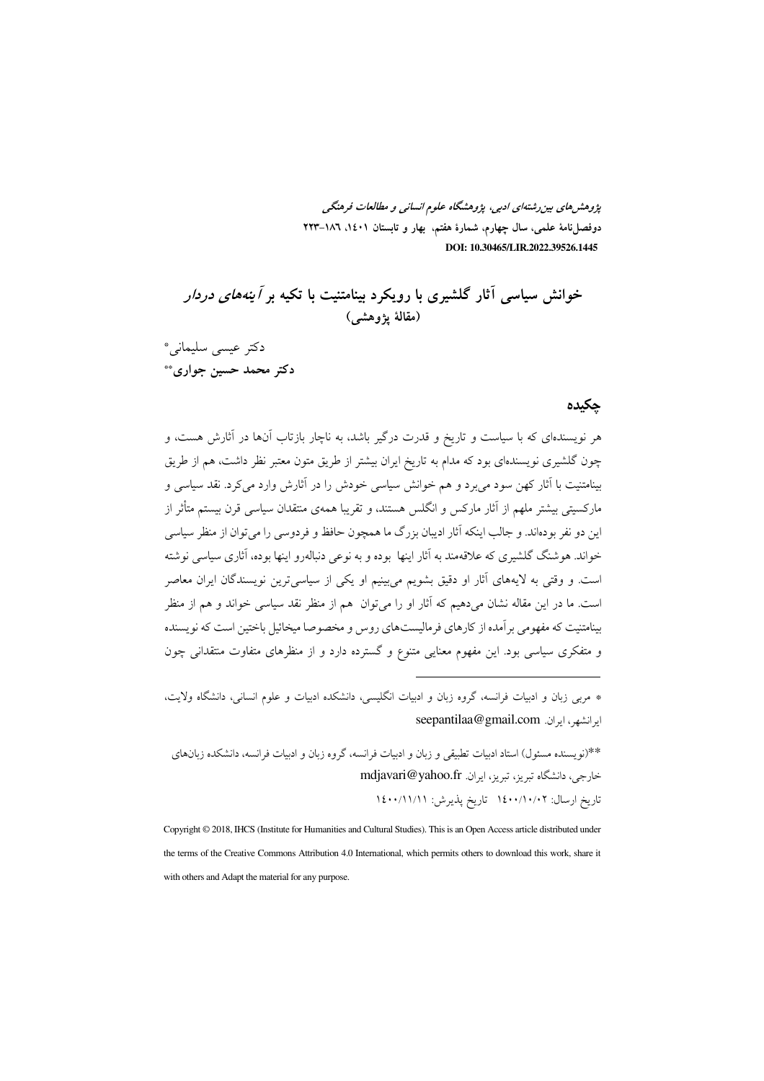یژوهشرهای بین رشتهای ادبی، یژوهشگاه علوم انسانی و مطالعات فرهنگی دوفصل(نامهٔ علمی، سال چهارم، شمارهٔ هفتم. بهار و تابستان ۱،۱۶۰ –۲۲۳ DOI: 10.30465/LIR.2022.39526.1445

خوانش سیاسی آثار گلشیری با رویکرد بینامتنیت با تکیه بر *آینههای دردار* (مقالهٔ یژوهشم)

دكتر عيسى سليماني\* دکتر محمد حسین جواری\*\*

#### جكيده

هر نویسندهای که با سیاست و تاریخ و قدرت درگیر باشد، به ناچار بازتاب آنها در آثارش هست، و چون گلشیری نویسندهای بود که مدام به تاریخ ایران بیشتر از طریق متون معتبر نظر داشت، هم از طریق بینامتنیت با آثار کهن سود می برد و هم خوانش سیاسی خودش را در آثارش وارد می کرد. نقد سیاسی و مارکسیتی بیشتر ملهم از آثار مارکس و انگلس هستند، و تقریبا همهی منتقدان سیاسی قرن بیستم متأثر از این دو نفر بودهاند. و جالب اینکه آثار ادیبان بزرگ ما همچون حافظ و فردوسی را میتوان از منظر سیاسی .<br>خواند. هوشنگ گلشیری که علاقهمند به آثار اینها بوده و به نوعی دنباله٫و اینها بوده، آثاری سیاسی نوشته است. و وقتی به لایههای آثار او دقیق بشویم میبینیم او یکی از سیاسی ترین نویسندگان ایران معاصر است. ما در این مقاله نشان میدهیم که آثار او را میتوان ًهم از منظر نقد سیاسی خواند و هم از منظر بینامتنیت که مفهومی برآمده از کارهای فرمالیستهای روس و مخصوصا میخائیل باختین است که نویسنده و متفکری سیاسی بود. این مفهوم معنایی متنوع و گسترده دارد و از منظرهای متفاوت منتقدانی چون

\* مربى زبان و ادبيات فرانسه، گروه زبان و ادبيات انگليسى، دانشكده ادبيات و علوم انسانى، دانشگاه ولايت، ايرانشهر ، ايران. seepantilaa@gmail.com

\*\*(نو يسنده مسئول) استاد ادبيات تطبيقي و زبان و ادبيات فرانسه، گروه زبان و ادبيات فرانسه، دانشكده زبانهاي خارجي، دانشگاه تبريز، تبريز، ايران. mdjavari@yahoo.fr تاریخ ارسال: ۱٤٠٠/۱۰/۰۲ تاریخ پذیرش: ۱٤٠٠/۱۱/۱۱

Copyright © 2018, IHCS (Institute for Humanities and Cultural Studies). This is an Open Access article distributed under the terms of the Creative Commons Attribution 4.0 International, which permits others to download this work, share it with others and Adapt the material for any purpose.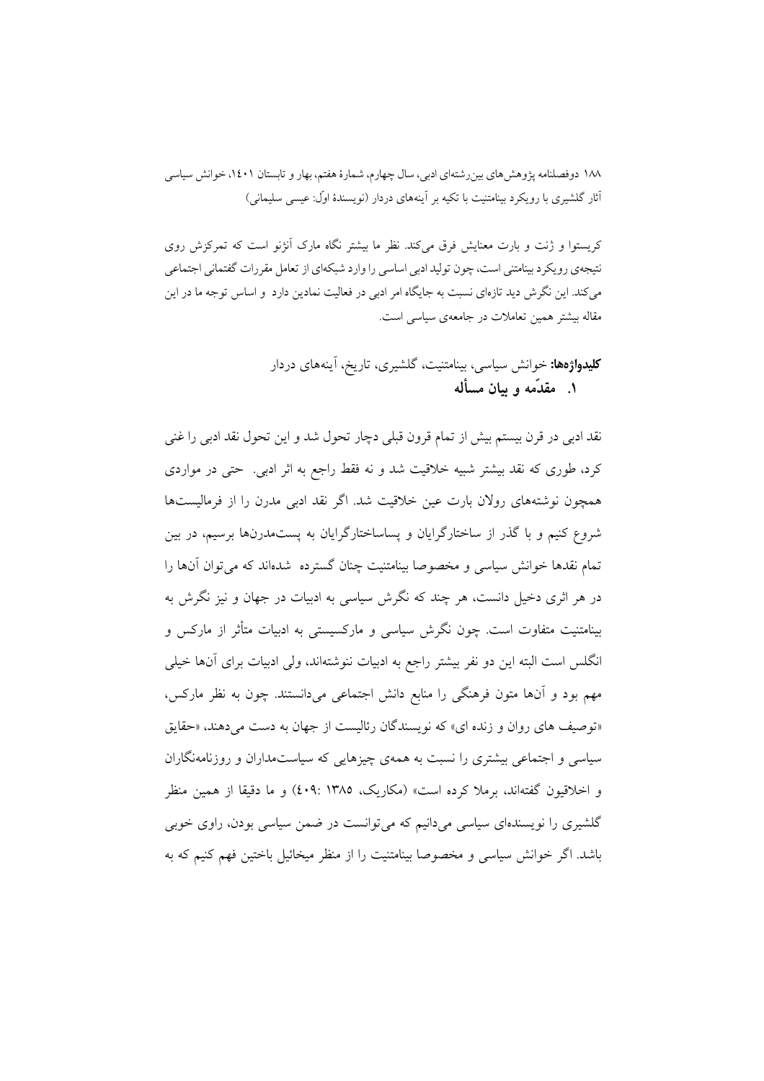کریستوا و ژنت و بارت معنایش فرق میکند. نظر ما بیشتر نگاه مارک آنژنو است که تمرکزش روی نتيجهي رويكرد بينامتني است، چون توليد ادبي اساسي را وارد شبكهاي از تعامل مقررات گفتماني اجتماعي می کند. این نگرش دید تازمای نسبت به جایگاه امر ادبی در فعالیت نمادین دارد و اساس توجه ما در این مقاله بیشتر همین تعاملات در جامعهی سیاسی است.

## **کلیدواژهها:** خوانش سیاسی، بینامتنیت، گلشیری، تاریخ، آینههای دردار ۱. مقدَّمه و بیان مسأله

نقد ادبی در قرن بیستم بیش از تمام قرون قبلی دچار تحول شد و این تحول نقد ادبی را غنی کرد، طوری که نقد بیشتر شبیه خلاقیت شد و نه فقط راجع به اثر ادبی. حتی در مواردی همچون نوشتههای رولان بارت عین خلاقیت شد. اگر نقد ادبی مدرن را از فرمالیستها شروع کنیم و با گذر از ساختارگرایان و پساساختارگرایان به پستمدرنها برسیم، در بین تمام نقدها خوانش سیاسی و مخصوصا بینامتنیت چنان گسترده شدهاند که می توان آنها را در هر اثری دخیل دانست، هر چند که نگرش سیاسی به ادبیات در جهان و نیز نگرش به بینامتنیت متفاوت است. چون نگرش سیاسی و مارکسیستی به ادبیات متأثر از مارکس و انگلس است البته این دو نفر بیشتر راجع به ادبیات ننوشتهاند، ولی ادبیات برای آنها خیلی مهم بود و آنها متون فرهنگی را منابع دانش اجتماعی میدانستند. چون به نظر مارکس، «توصيف هاي روان و زنده اي» كه نويسندگان رئاليست از جهان به دست مي دهند، «حقايق سیاسی و اجتماعی بیشتری را نسبت به همهی چیزهایی که سیاستمداران و روزنامهنگاران و اخلاقیون گفتهاند، برملا کرده است» (مکاریک، ۱۳۸۵ :۶۰۹) و ما دقیقا از همین منظر گلشیری را نویسندهای سیاسی می دانیم که می توانست در ضمن سیاسی بودن، راوی خوبی باشد. اگر خوانش سیاسی و مخصوصا بینامتنیت را از منظر میخائیل باختین فهم کنیم که به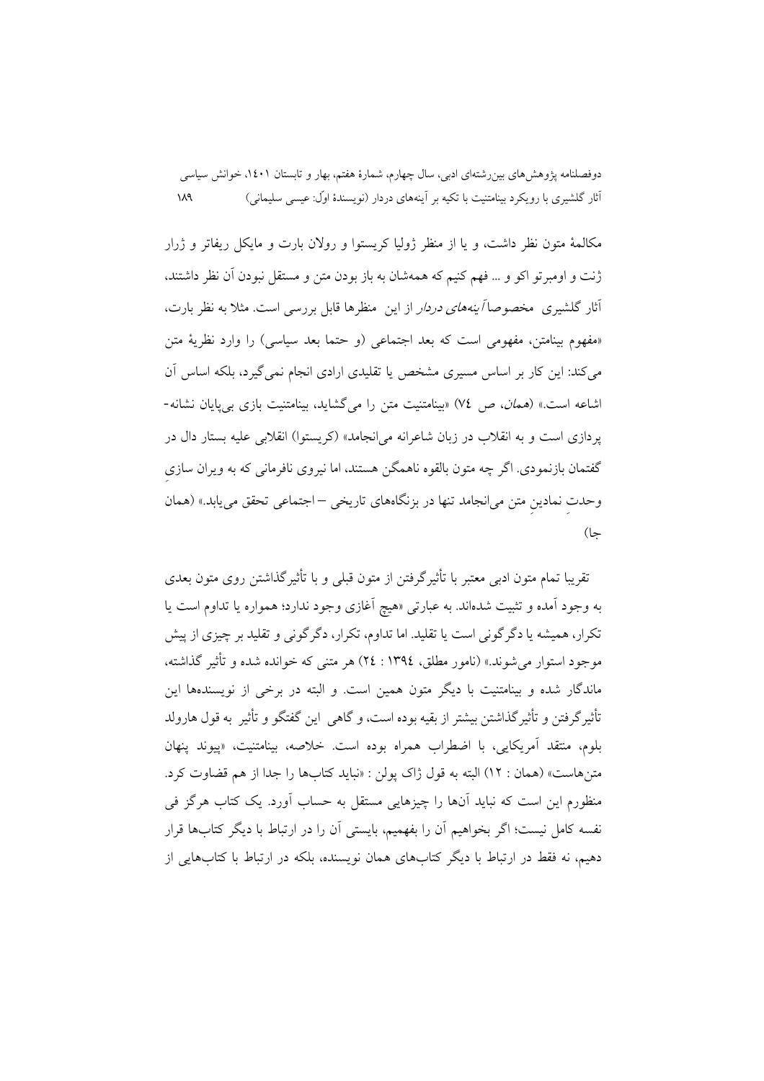مکالمهٔ متون نظر داشت، و یا از منظر ژولیا کریستوا و رولان بارت و مایکل ریفاتر و ژرار ژنت و اومبر تو اکو و … فهم کنیم که همهشان به باز بودن متن و مستقل نبودن آن نظر داشتند، آثار گلشیری ًمخصوصا *آینههای دردار* از این منظرها قابل بررسی است. مثلاً به نظر بارت، «مفهوم بینامتن، مفهومی است که بعد اجتماعی (و حتما بعد سیاسی) را وارد نظریهٔ متن می کند: این کار بر اساس مسیری مشخص یا تقلیدی ارادی انجام نمی گیرد، بلکه اساس اَن اشاعه است.» (*همان*، ص ٧٤) «بینامتنیت متن را میگشاید، بینامتنیت بازی بیپایان نشانه-پردازی است و به انقلاب در زبان شاعرانه می انجامد» (کریستوا) انقلابی علیه بستار دال در گفتمان بازنمودی. اگر چه متون بالقوه ناهمگن هستند، اما نیروی نافرمانی که به ویران سازی وحدت نمادین متن می|نجامد تنها در بزنگاههای تاریخی –اجتماعی تحقق می یابد.» (همان جا)

تقریبا تمام متون ادبی معتبر با تأثیر گرفتن از متون قبلی و با تأثیر گذاشتن روی متون بعدی به وجود آمده و تثبیت شدهاند. به عبارت<sub>ی</sub> «هیچ آغازی وجود ندارد؛ همواره یا تداوم است یا تکرار، همیشه یا دگرگونی است یا تقلید. اما تداوم، تکرار، دگرگونی و تقلید بر چیزی از پیش موجود استوار می شوند.» (نامور مطلق، ١٣٩٤ : ٢٤) هر متنی که خوانده شده و تأثير گذاشته، ماندگار شده و بینامتنیت با دیگر متون همین است. و البته در برخی از نویسندهها این تأثیرگرفتن و تأثیرگذاشتن بیشتر از بقیه بوده است، و گاهی این گفتگو و تأثیر به قول هارولد بلوم، منتقد آمريكايي، با اضطراب همراه بوده است. خلاصه، بينامتنيت، «ييوند ينهان متن هاست» (همان : ١٢) البته به قول ژاک يولن : «نبايد كتابها را جدا از هم قضاوت كرد. منظورم این است که نباید آنها را چیزهایی مستقل به حساب آورد. یک کتاب هرگز فی نفسه كامل نيست؛ اگر بخواهيم آن را بفهميم، بايستى آن را در ارتباط با ديگر كتابها قرار دهیم، نه فقط در ارتباط با دیگر کتابهای همان نویسنده، بلکه در ارتباط با کتابهایی از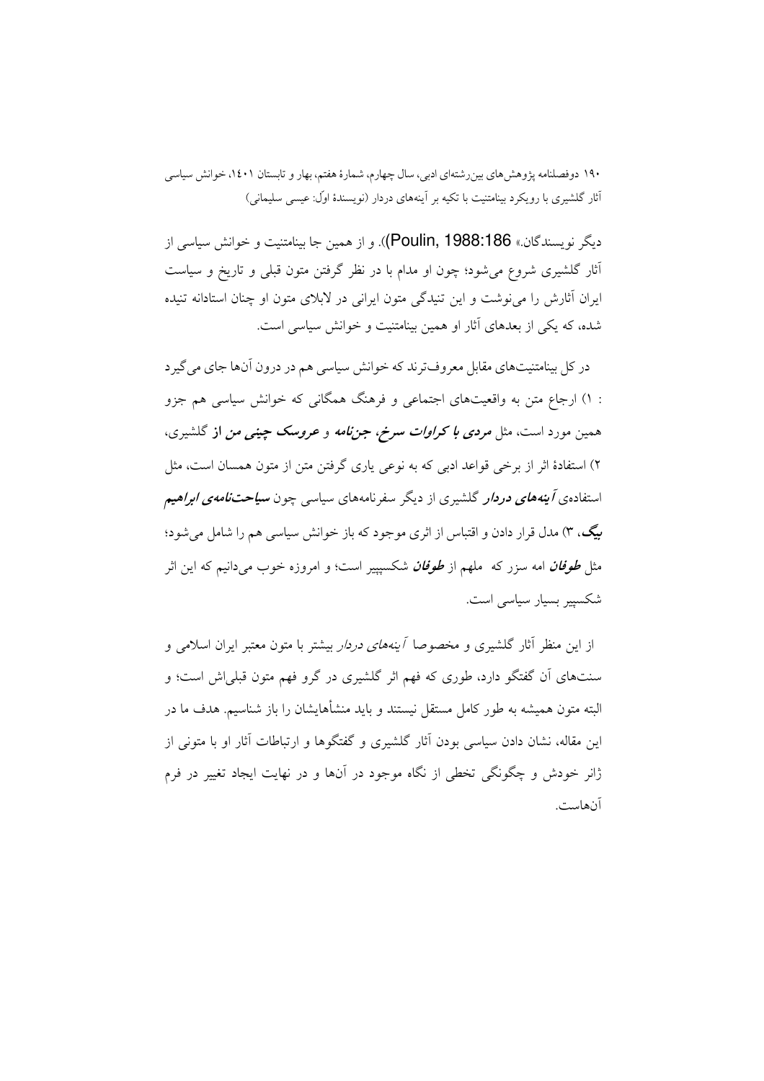دیگر نویسندگان.» Poulin, 1988:186)). و از همین جا بینامتنیت و خوانش سیاسی از آثار گلشیری شروع می شود؛ چون او مدام با در نظر گرفتن متون قبلی و تاریخ و سیاست ایران آثارش را می نوشت و این تنیدگی متون ایرانی در لابلای متون او چنان استادانه تنیده شده، که یکی از بعدهای آثار او همین بینامتنیت و خوانش سیاسی است.

در کل بینامتنیتهای مقابل معروفترند که خوانش سیاسی هم در درون آنها جای می گیرد : ۱) ارجاع متن به واقعیتهای اجتماعی و فرهنگ همگانی که خوانش سیاسی هم جزو همین مورد است، مثل *مردی با کراوات سرخ، جننامه و عروسک چینی من* از گلشیری، ۲) استفادهٔ اثر از برخی قواعد ادبی که به نوعی یاری گرفتن متن از متون همسان است، مثل استفادهی *آینههای دردار* گلشیری از دیگر سفرنامههای سیاس<sub>ی</sub> چون **سی***احتنامهی ابراهیم* بیگ، ۳) مدل قرار دادن و اقتباس از اثری موجود که باز خوانش سیاسی هم را شامل می شود؛ مثل *طوفان* امه سزر که ملهم از *طوفان* شکسیییر است؛ و امروزه خوب می دانیم که این اثر شکسپیر بسیار سیاسی است.

از این منظر آثار گلشیری و مخصوصا *آینههای دردار* بیشتر با متون معتبر ایران اسلامی و سنتهای آن گفتگو دارد، طوری که فهم اثر گلشیری در گرو فهم متون قبلی اش است؛ و البته متون همیشه به طور کامل مستقل نیستند و باید منشأهایشان را باز شناسیم. هدف ما در این مقاله، نشان دادن سیاسی بودن آثار گلشیری و گفتگوها و ارتباطات آثار او با متونی از ژانر خودش و چگونگی تخطی از نگاه موجود در آنها و در نهایت ایجاد تغییر در فرم آنهاست.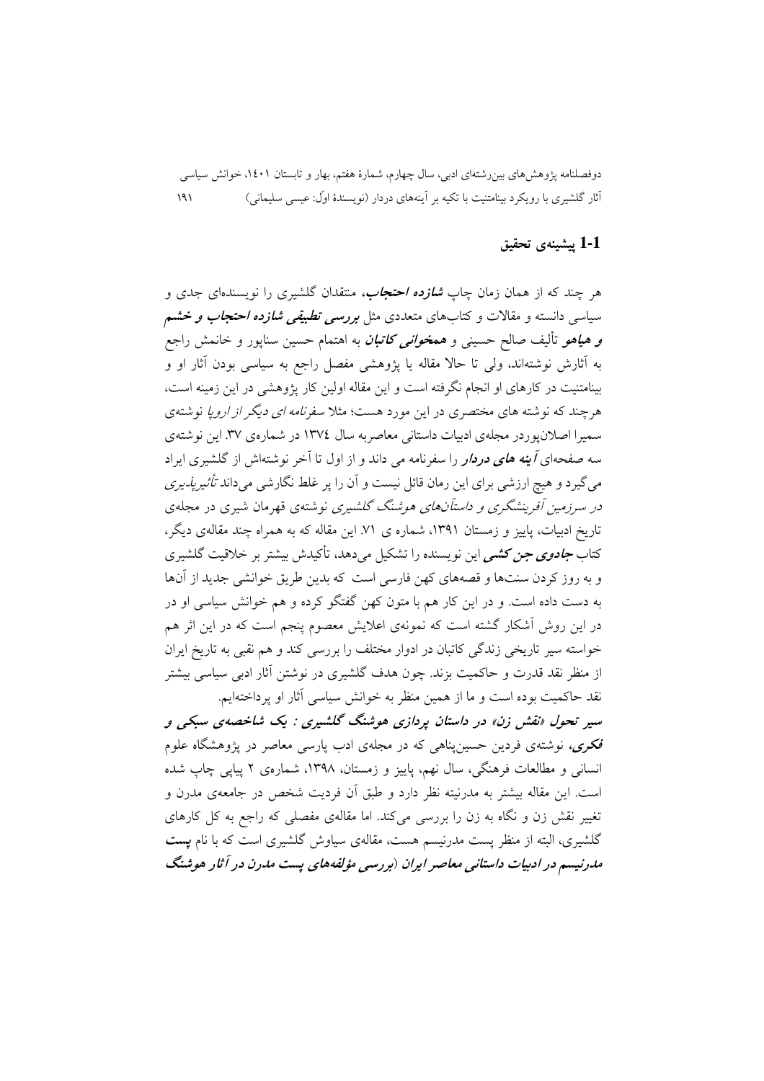#### 1-1 ييشينهي تحقيق

هر چند که از همان زمان چاپ *شازده احتجاب،* منتقدان گلشیری را نویسندهای جدی و سیاسی دانسته و مقالات و کتابهای متعددی مثل *بررسی تطبیقی شازده احتجاب و خش*م **و هیاهو** تألیف صالح حسینی و هم*خوانی کاتبان* به اهتمام حسین سناپور و خانمش راجع به آثارش نوشتهاند، ولی تا حالاً مقاله یا پژوهشی مفصل راجع به سیاسی بودن آثار او و بینامتنیت در کارهای او انجام نگرفته است و این مقاله اولین کار پژوهشی در این زمینه است، هرچند که نوشته های مختصری در این مورد هست؛ مثلا سفر*نامه ای دیگر از اروپا* نوشتهی سمیرا اصلان یوردر مجلهی ادبیات داستانی معاصر به سال ۱۳۷٤ در شمارهی ۳۷. این نوشتهی سه صفحهای *آینه های دردار* را سفرنامه می داند و از اول تا آخر نوشتهاش از گلشیری ایراد می گیرد و هیچ ارزشی برای این رمان قائل نیست و آن را پر غلط نگارشی می داند *تأثیر یذیری* در سرزمین آفرینشگری و د*استآنهای هوشنگ گلشیری* نوشتهی قهرمان شیری در مجلهی تاریخ ادبیات، پاییز و زمستان ۱۳۹۱، شماره ی ۷۱. این مقاله که به همراه چند مقالهی دیگر، کتاب *جادوی جن کشمی* این نویسنده را تشکیل میدهد، تأکیدش بیشتر بر خلاقیت گلشیری و به روز کردن سنتها و قصههای کهن فارسی است که بدین طریق خوانشی جدید از آنها به دست داده است. و در این کار هم با متون کهن گفتگو کرده و هم خوانش سیاسی او در در این روش اَشکار گشته است که نمونهی اعلایش معصوم ینجم است که در این اثر هم خواسته سیر تاریخی زندگی کاتبان در ادوار مختلف را بررسی کند و هم نقبی به تاریخ ایران از منظر نقد قدرت و حاکمیت بزند. چون هدف گلشیری در نوشتن آثار ادبی سیاسی بیشتر نقد حاکمیت بوده است و ما از همین منظر به خوانش سیاسی آثار او پرداختهایم.

سیر تحول «نقش زن» در داستان پردازی هوشنگ گلشیری : یک شاخصهی سبکی و <mark>فکری،</mark> نوشتهی فردین حسین پناهی که در مجلهی ادب پارسی معاصر در پژوهشگاه علوم انسانی و مطالعات فرهنگی، سال نهم، پاییز و زمستان، ۱۳۹۸، شمارهی ۲ پیاپی چاپ شده است. این مقاله بیشتر به مدرنیته نظر دارد و طبق آن فردیت شخص در جامعهی مدرن و تغییر نقش زن و نگاه به زن را بررسی میکند. اما مقالهی مفصلی که راجع به کل کارهای گلشیری، البته از منظر پست مدرنیسم هست، مقالهی سیاوش گلشیری است که با نام **پست** مدرنیسم در ادبیات داستانی معاصر ایران (بررسی مؤلفههای پست مدرن در آثار هوشنگ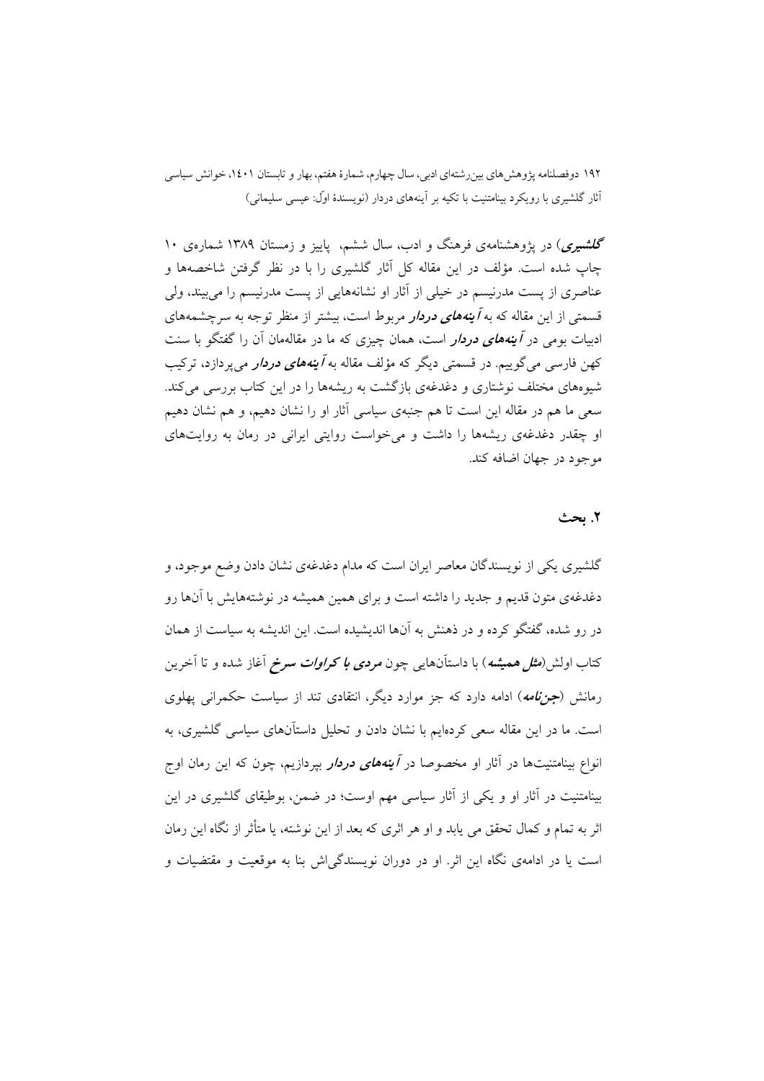گلشبیری) در یژوهشنامهی فرهنگ و ادب، سال ششم، پاییز و زمستان ۱۳۸۹ شمارهی ۱۰ چاپ شده است. مؤلف در این مقاله کل آثار گلشیری را با در نظر گرفتن شاخصهها و عناصری از پست مدرنیسم در خیلی از آثار او نشانههایی از پست مدرنیسم را میبیند، ولی قسمتی از این مقاله که به *آ بنههای دردار م*ربوط است، بیشتر از منظر توجه به سرچشمههای ادبیات بومی در *آینههای دردار است*، همان چیزی که ما در مقالهمان آن را گفتگو با سنت کهن فارسی می گوییم. در قسمتی دیگر که مؤلف مقاله به *آینههای دردار می پ*ردازد، ترکیب شبوههای مختلف نوشتاری و دغدغهی بازگشت به ریشهها را در این کتاب بررسی می کند. سعی ما هم در مقاله این است تا هم جنبهی سیاسی آثار او را نشان دهیم، و هم نشان دهیم او چقدر دغدغهی ریشهها را داشت و می خواست روایتی ایرانی در رمان به روایتهای موجود در جهان اضافه كند.

## ٢. ىحث

گلشیری یکی از نویسندگان معاصر ایران است که مدام دغدغهی نشان دادن وضع موجود، و دغدغهی متون قدیم و جدید را داشته است و برای همین همیشه در نوشتههایش با آنها رو در رو شده، گفتگو کرده و در ذهنش به آنها اندیشیده است. این اندیشه به سیاست از همان کتاب اولش(*مثل همیشه*) با داستآنهایی چون *مردی با کراوات سرخ* آغاز شده و تا آخرین رمانش (جز*نامه*) ادامه دارد که جز موارد دیگر، انتقادی تند از سیاست حکمرانی یهلوی است. ما در این مقاله سعی کردهایم با نشان دادن و تحلیل داستآنهای سیاسی گلشیری، به انواع بینامتنیتها در آثار او مخصوصا در *آینههای دردار بپردازیم*، چون که این رمان اوج بینامتنیت در آثار او و یکی از آثار سیاسی مهم اوست؛ در ضمن، بوطیقای گلشیری در این اثر به تمام و کمال تحقق می یابد و او هر اثری که بعد از این نوشته، یا متأثر از نگاه این رمان است یا در ادامهی نگاه این اثر. او در دوران نویسندگی<sup>ا</sup>ش بنا به موقعیت و مقتضیات و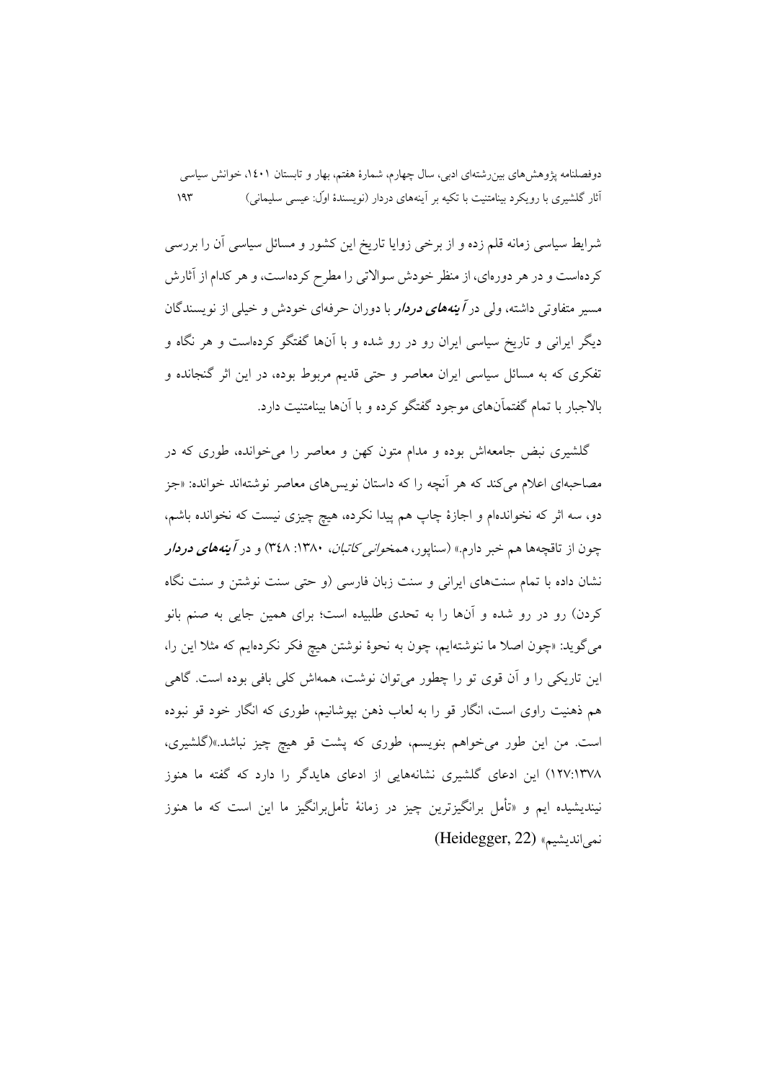شرایط سیاسی زمانه قلم زده و از برخی زوایا تاریخ این کشور و مسائل سیاسی آن را بررسی کر دماست و در هر دورمای، از منظر خودش سوالاتی را مطرح کر دماست، و هر کدام از آثارش مسیر متفاوتی داشته، ولی در *آینههای دردار با دوران حرفهای خو*دش و خیلی از نویسندگان دیگر ایرانی و تاریخ سیاسی ایران رو در رو شده و با آنها گفتگو کردهاست و هر نگاه و تفکری که به مسائل سیاسی ایران معاصر و حتی قدیم مربوط بوده، در این اثر گنجانده و بالاجبار با تمام گفتماًنهای موجود گفتگو کرده و با آنها بینامتنیت دارد.

گلشیری نبض جامعهاش بوده و مدام متون کهن و معاصر را میخوانده، طوری که در مصاحبهای اعلام می کند که هر آنچه را که داستان نویسهای معاصر نوشتهاند خوانده: «جز دو، سه اثر که نخواندهام و اجازهٔ چاپ هم پیدا نکرده، هیچ چیزی نیست که نخوانده باشم، چون از تاقچهها هم خبر دارم.» (سناپور، *همخوان<sub>ی</sub> کاتبان*، ۱۳۸۰: ۳٤۸) و در *آینههای دردار* نشان داده با تمام سنتهای ایرانی و سنت زبان فارسی (و حتی سنت نوشتن و سنت نگاه کردن) رو در رو شده و آنها را به تحدی طلبیده است؛ برای همین جایی به صنم بانو میگوید: «چون اصلا ما ننوشتهایم، چون به نحوهٔ نوشتن هیچ فکر نکردهایم که مثلاً این را، این تاریکی را و اّن قوی تو را چطور میتوان نوشت، همهاش کلی بافی بوده است. گاهی هم ذهنیت راوی است، انگار قو را به لعاب ذهن بپوشانیم، طوری که انگار خود قو نبوده است. من این طور میخواهم بنویسم، طوری که پشت قو هیچ چیز نباشد.»(گلشیری، ۱۳۷۸/:۱۳۷۸) این ادعای گلشیری نشانههایی از ادعای هایدگر را دارد که گفته ما هنوز نبندیشیده ایم و «تأمل برانگیزترین چیز در زمانهٔ تأمل رانگیز ما این است که ما هنوز نمي انديشيم» (Heidegger, 22)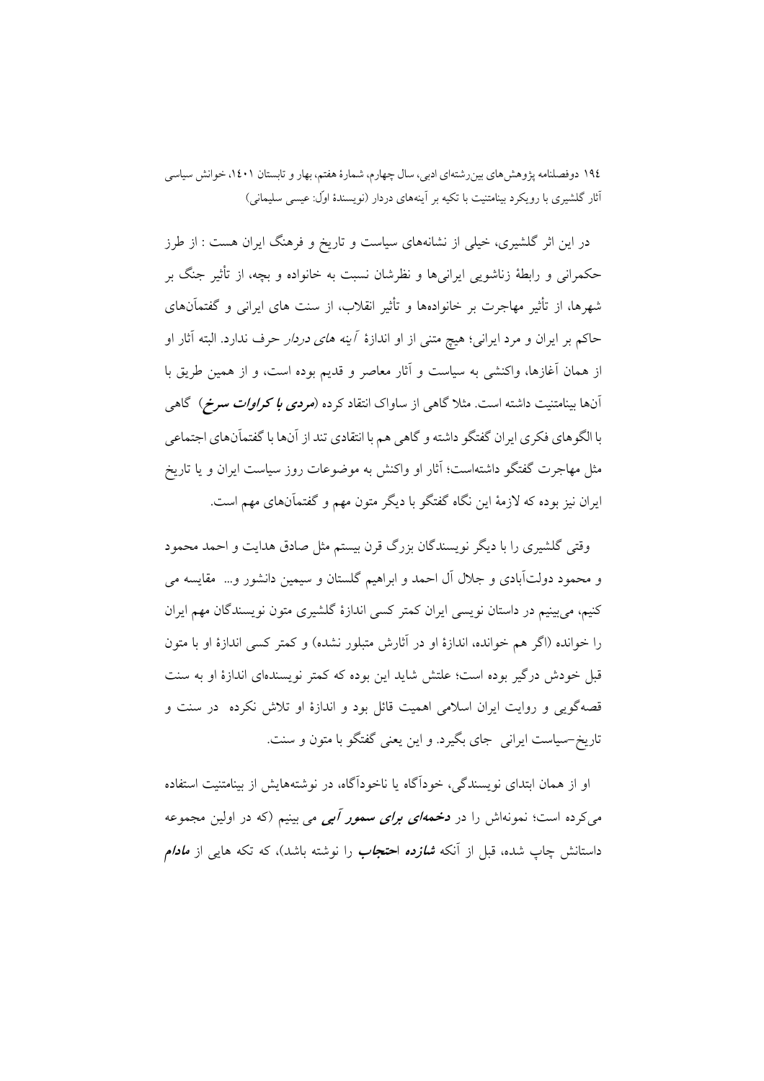در این اثر گلشیری، خیلی از نشانههای سیاست و تاریخ و فرهنگ ایران هست : از طرز حکمرانی و رابطهٔ زناشویی ایرانی ها و نظرشان نسبت به خانواده و بچه، از تأثیر جنگ بر شهرها، از تأثیر مهاجرت بر خانوادهها و تأثیر انقلاب، از سنت های ایرانی و گفتمآنهای حاکم بر ایران و مرد ایرانی؛ هیچ متنی از او اندازهٔ *آینه های دردار ح*رف ندارد. البته آثار او از همان آغازها، واكنشى به سياست و آثار معاصر و قديم بوده است، و از همين طريق با آنها بینامتنیت داشته است. مثلا گاهی از ساواک انتقاد کرده (*مردی با کراوات سرخ)* گاهی با الگوهاي فكري ايران گفتگو داشته و گاهي هم با انتقادي تند از آنها با گفتماّنهاي اجتماعي مثل مهاجرت گفتگو داشتهاست؛ آثار او واکنش به موضوعات روز سیاست ایران و یا تاریخ ایران نیز بوده که لازمهٔ این نگاه گفتگو با دیگر متون مهم و گفتماًنهای مهم است.

وقتی گلشیری را با دیگر نویسندگان بزرگ قرن بیستم مثل صادق هدایت و احمد محمود و محمود دولتآبادی و جلال آل احمد و ابراهیم گلستان و سیمین دانشور و… مقایسه می کنیم، می بینیم در داستان نویسی ایران کمتر کسی اندازهٔ گلشیری متون نویسندگان مهم ایران را خوانده (اگر هم خوانده، اندازهٔ او در آثارش متبلور نشده) و کمتر کسی اندازهٔ او با متون قبل خودش درگیر بوده است؛ علتش شاید این بوده که کمتر نویسندهای اندازهٔ او به سنت قصهگویی و روایت ایران اسلامی اهمیت قائل بود و اندازهٔ او تلاش نکرده ً در سنت و .<br>تاریخ-سیاست ایرانی جای بگیرد. و این یعنی گفتگو با متون و سنت.

او از همان ابتدای نویسندگی، خودآگاه یا ناخودآگاه، در نوشتههایش از بینامتنیت استفاده می کرده است؛ نمونهاش را در مخم*های برای سمور آبی می* بینیم (که در اولین مجموعه داستانش چاپ شده، قبل از اّنکه *شازده* احتج*اب* را نوشته باشد)، که تکه هایی از *مادام*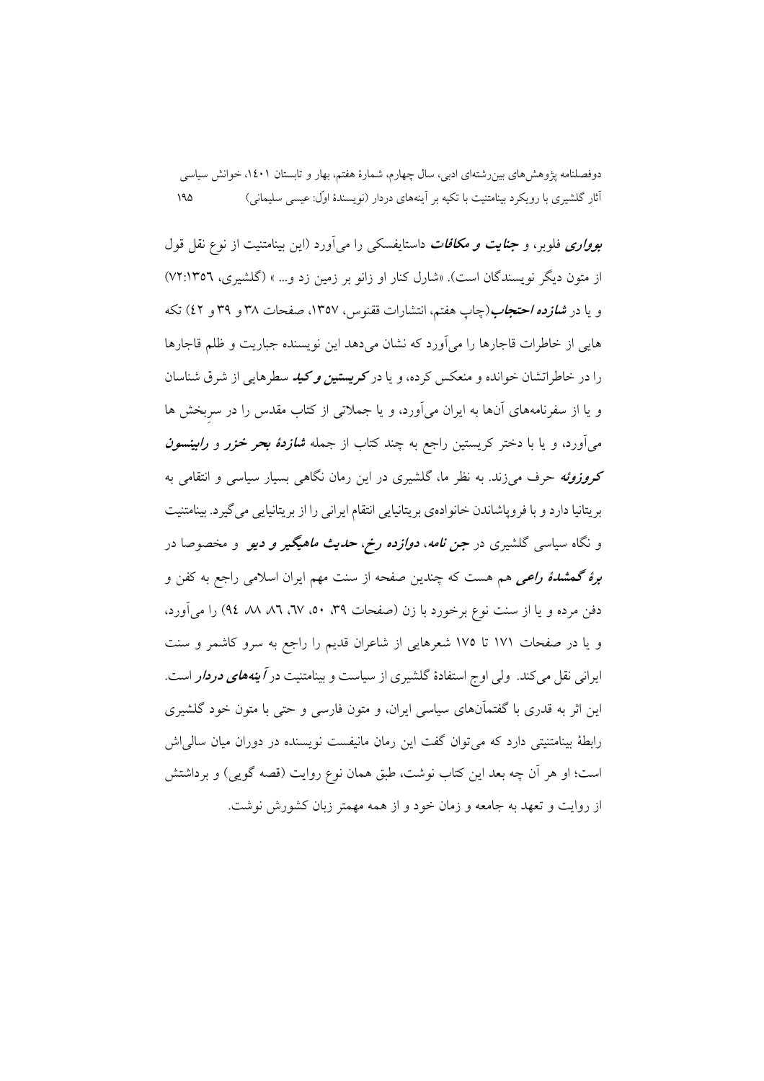ب*وواری فلوبر*، و جن*ایت و مکافات* داستایفسکی را میآورد (این بینامتنیت از نوع نقل قول از متون دیگر نویسندگان است). «شارل کنار او زانو بر زمین زد و... » (گلشیری، ٧٢:١٣٥٦) و یا در *شازده احتجاب(چ*اپ هفتم، انتشارات ققنوس، ۱۳۵۷، صفحات ۳۸ و ۳۹ و ٤۲) تکه هایی از خاطرات قاجارها را می آورد که نشان می دهد این نویسنده جباریت و ظلم قاجارها را در خاطراتشان خوانده و منعکس کرده، و یا در کریستبی*ن و کید* سطرهایی از شرقی شناسان و یا از سفرنامههای آنها به ایران می آورد، و یا جملاتی از کتاب مقدس را در سربخش ها می آورد، و یا با دختر کریستین راجع به چند کتاب از جمله *شازدهٔ بحر خزر و رابینسون* کروزوئه حرف می زند. به نظر ما، گلشیری در این رمان نگاهی بسیار سیاسی و انتقامی به بريتانيا دارد و با فروياشاندن خانوادهي بريتانيايي انتقام ايراني را از بريتانيايي مي گيرد. بينامتنيت و نگاه سیاسی گلشیری در *جن نامه، دوازده رخ، حدیث ماهیگیر و دیو* و مخصوصا در برهٔ گهش*دهٔ راعی* هم هست که چندین صفحه از سنت مهم ایران اسلامی راجع به کفن و دفن مرده و یا از سنت نوع برخورد با زن (صفحات ٣٩، ٥٠، ٦٧، ٨٦، ٨٦، ٩٤) را مي آورد، و یا در صفحات ۱۷۱ تا ۱۷۵ شعرهایی از شاعران قدیم را راجع به سرو کاشمر و سنت ایرانی نقل میکند. ولی اوج استفادهٔ گلشیری از سیاست و بینامتنیت در *آینههای دردار* است. این اثر به قدری با گفتمآنهای سیاسی ایران، و متون فارسی و حتی با متون خود گلشیری رابطهٔ بینامتنیتی دارد که میتوان گفت این رمان مانیفست نویسنده در دوران میان سالی[ش است؛ او هر آن چه بعد این کتاب نوشت، طبق همان نوع روایت (قصه گویی) و برداشتش از روایت و تعهد به جامعه و زمان خود و از همه مهمتر زبان کشورش نوشت.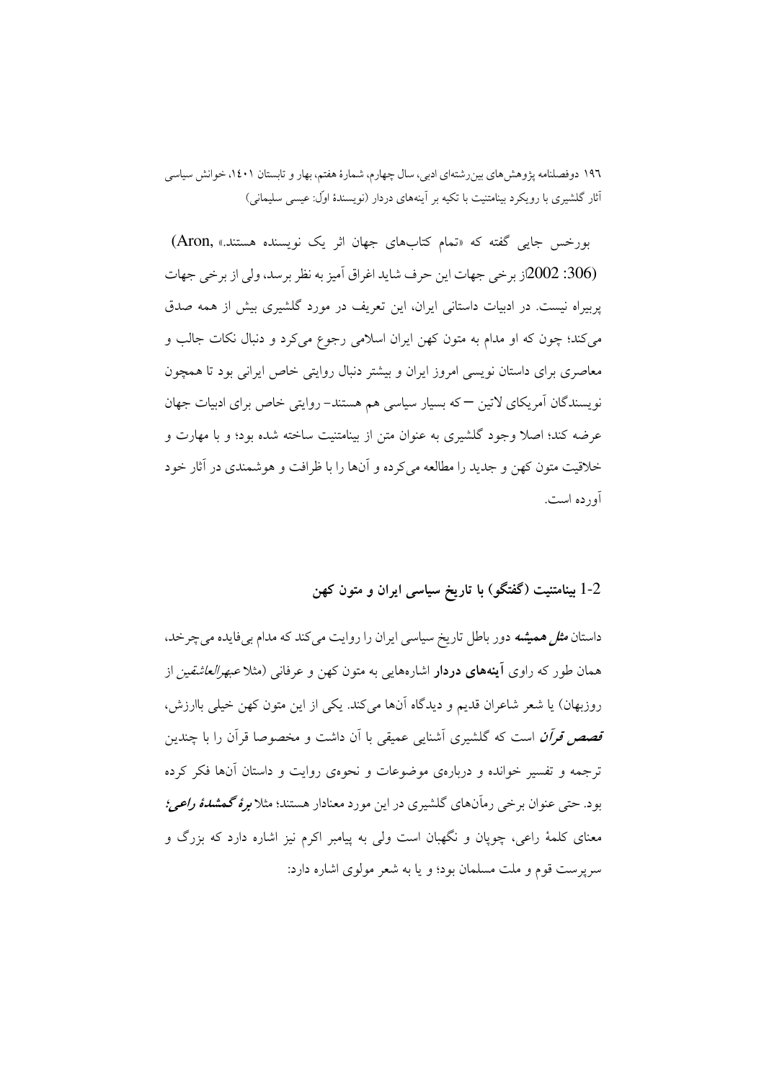بورخس جایی گفته که «تمام کتابهای جهان اثر یک نویسنده هستند.» ,Aron) (306: 2002ز برخي جهات اين حرف شايد اغراق آميز به نظر برسد، ولي از برخي جهات یربیراه نیست. در ادبیات داستانی ایران، این تعریف در مورد گلشیری بیش از همه صدق می کند؛ چون که او مدام به متون کهن ایران اسلامی رجوع می کرد و دنبال نکات جالب و معاصری برای داستان نویسی امروز ایران و بیشتر دنبال روایتی خاص ایرانی بود تا همچون نویسندگان آمریکای لاتین — که بسیار سیاسی هم هستند- روایتی خاص برای ادبیات جهان عرضه کند؛ اصلاً وجود گلشیری به عنوان متن از بینامتنیت ساخته شده بود؛ و با مهارت و خلاقیت متون کهن و جدید را مطالعه می کرده و آنها را با ظرافت و هوشمندی در آثار خود آورده است.

1-2 بینامتنیت (گفتگو) با تاریخ سیاسی ایران و متون کهن

داستان *مثل همیشه* دور باطل تاریخ سیاسی ایران را روایت می کند که مدام بیفایده می چرخد، همان طور که راوی **آینههای دردار** اشارههایی به متون کهن و عرفانی (مثلا *عبهرالعاشقین* از روزبهان) يا شعر شاعران قديم و ديدگاه آنها مي كند. يكي از اين متون كهن خيلي باارزش، قصص قرآن است که گلشیری آشنایی عمیقی با آن داشت و مخصوصا قرآن را با چندین ترجمه و تفسیر خوانده و دربارهی موضوعات و نحوهی روایت و داستان آنها فکر کرده بود. حتی عنوان برخی رماّنهای گلشیری در این مورد معنادار هستند؛ مثلا *برهٔ گمشدهٔ راعی؛* معنای کلمهٔ راعی، چوپان و نگهبان است ولی به پیامبر اکرم نیز اشاره دارد که بزرگ و سریرست قوم و ملت مسلمان بود؛ و با به شعر مولوی اشاره دارد: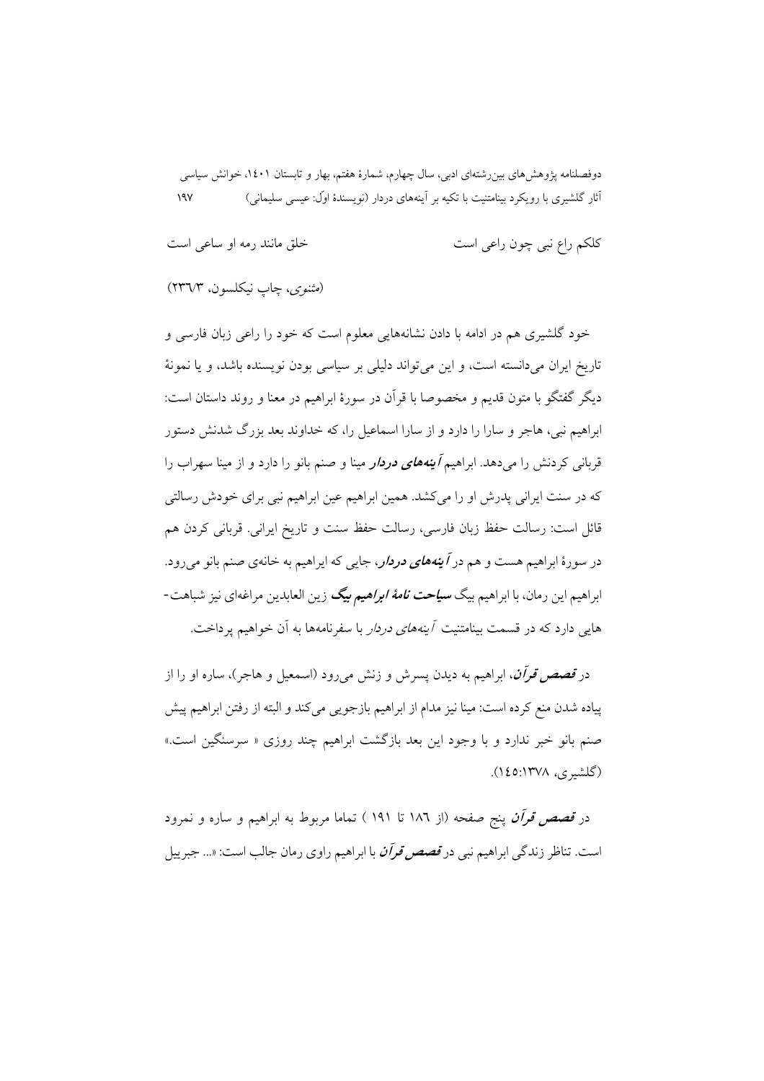| کلکم راع نبی چون راعی است | خلق مانند رمه او ساعی است |
|---------------------------|---------------------------|
|                           |                           |

(مثنوى، چاپ نيكلسون، ٢٣٦/٣)

خود گلشیری هم در ادامه با دادن نشانههایی معلوم است که خود را راعی زبان فارسی و تاریخ ایران میدانسته است، و این میتواند دلیلی بر سیاسی بودن نویسنده باشد، و یا نمونهٔ ديگر گفتگو با متون قديم و مخصوصا با قرآن در سورهٔ ابراهيم در معنا و روند داستان است: ابراهیم نبی، هاجر و سارا را دارد و از سارا اسماعیل را، که خداوند بعد بزرگ شدنش دستور قربانی کردنش را میدهد. ابراهیم *آینههای دردار* مینا و صنم بانو را دارد و از مینا سهراب را که در سنت ایرانی پدرش او را میکشد. همین ابراهیم عین ابراهیم نبی برای خودش رسالتی قائل است: رسالت حفظ زبان فارسی، رسالت حفظ سنت و تاریخ ایرانی. قربانی کردن هم در سورهٔ ابراهیم هست و هم در *آینههای دردار، ج*ایی که ایراهیم به خانهی صنم بانو می رود. ابراهیم این رمان، با ابراهیم بیگ *سیاحت نامهٔ ابراهیم بیگ* زین العابدین مراغهای نیز شباهت-هایی دارد که در قسمت بینامتنیت *آینههای دردار* با سفرنامهها به آن خواهیم ی<sub>ا</sub> داخت.

در *قصص قرآن*، ابراهیم به دیدن پسرش و زنش میرود (اسمعیل و هاجر)، ساره او را از پیاده شدن منع کرده است: مینا نیز مدام از ابراهیم بازجویی می کند و البته از رفتن ابراهیم پیش صنم بانو خبر ندارد و با وجود این بعد بازگشت ابراهیم چند روزی « سرسنگین است.» (گلشیری، ۱۳۷۸:۱٤٥).

در *قصص قرأن* پنج صفحه (از ۱۸۲ تا ۱۹۱ ) تماما مربوط به ابراهیم و ساره و نمرود است. تناظر زندگی ابراهیم نبی در *قصص قرآن* با ابراهیم راوی رمان جالب است: «... جبر پیل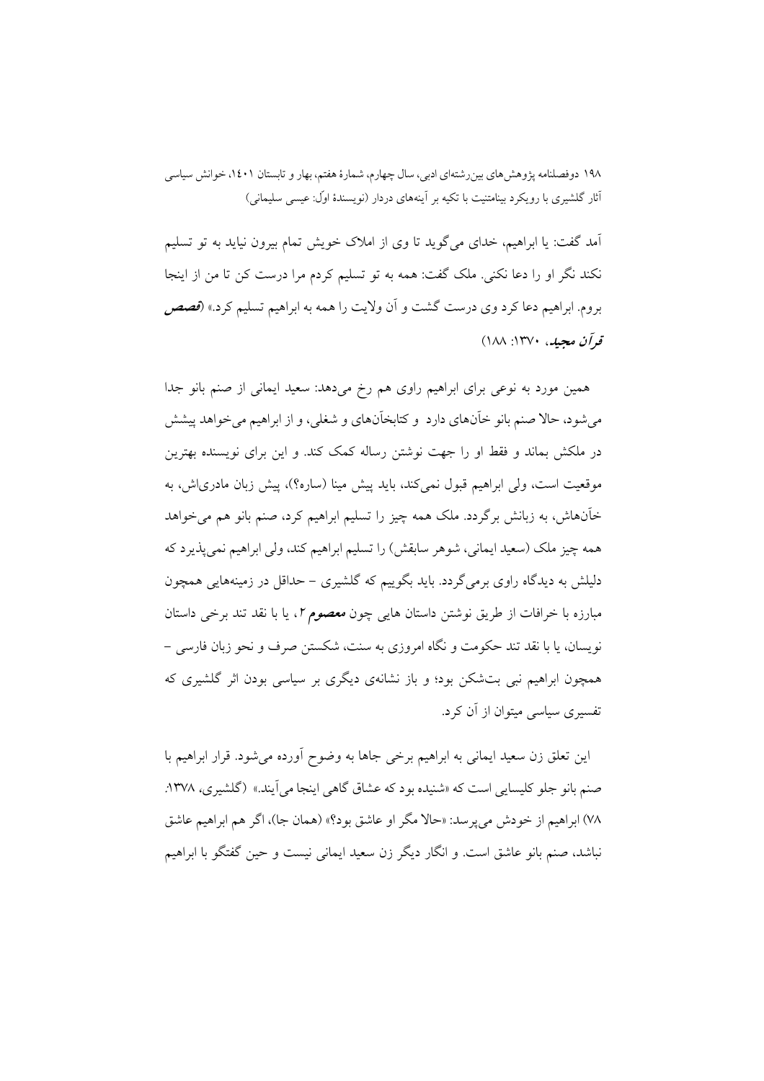آمد گفت: یا ابراهیم، خدای می گوید تا وی از املاک خویش تمام بیرون نیاید به تو تسلیم نکند نگر او را دعا نکنی. ملک گفت: همه به تو تسلیم کردم مرا درست کن تا من از اینجا بروم. ابراهیم دعا کرد وی درست گشت و آن ولایت را همه به ابراهیم تسلیم کرد.» (قصص قواًن مجيله، ١٣٧٠: ١٨٨)

همین مورد به نوعی برای ابراهیم راوی هم رخ میدهد: سعید ایمانی از صنم بانو جدا می شود، حالا صنم بانو خآنهای دارد و کتابخآنهای و شغلی، و از ابراهیم می خواهد پیشش در ملکش بماند و فقط او را جهت نوشتن رساله کمک کند. و این برای نویسنده بهترین موقعیت است، ولی ابراهیم قبول نمی کند، باید پیش مینا (ساره؟)، پیش زبان مادری|ش، به خآنهاش، به زبانش برگردد. ملک همه چیز را تسلیم ابراهیم کرد، صنم بانو هم می خواهد همه چیز ملک (سعید ایمانی، شوهر سابقش) را تسلیم ابراهیم کند، ولی ابراهیم نمی پذیرد که دلیلش به دیدگاه راوی برمی گردد. باید بگوییم که گلشیری – حداقل در زمینههایی همچون مبارزه با خرافات از طریق نوشتن داستان هایی چون *معصوم ۲*، یا با نقد تند برخی داستان نویسان، یا با نقد تند حکومت و نگاه امروزی به سنت، شکستن صرف و نحو زبان فارسی – همچون ابراهیم نبی بتشکن بود؛ و باز نشانهی دیگری بر سیاسی بودن اثر گلشیری که تفسیری سیاسی میتوان از آن کرد.

این تعلق زن سعید ایمانی به ابراهیم برخی جاها به وضوح آورده میشود. قرار ابراهیم با صنم بانو جلو کلیسایی است که «شنیده بود که عشاق گاهی اینجا می آیند.» (گلشیری، ۱۳۷۸. ۷۸) ابراهیم از خودش می پرسد: «حالا مگر او عاشق بود؟» (همان جا)، اگر هم ابراهیم عاشق نباشد، صنم بانو عاشق است. و انگار دیگر زن سعید ایمانی نیست و حین گفتگو با ابراهیم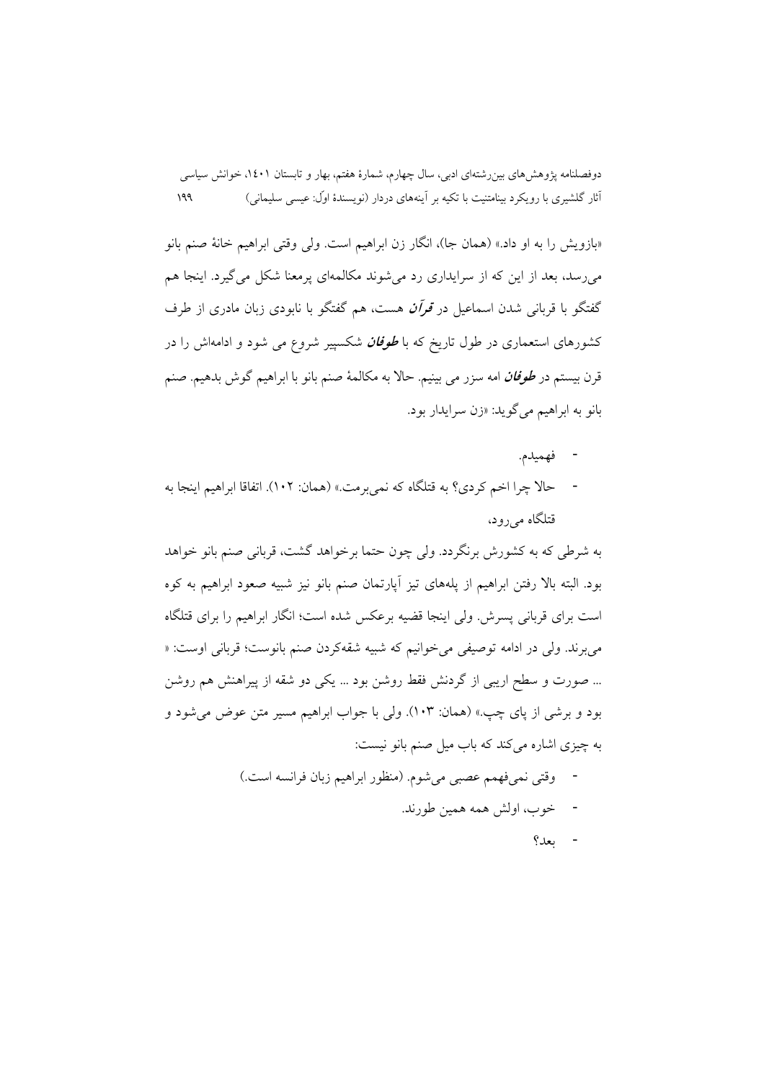«بازويش را به او داد.» (همان جا)، انگار زن ابراهيم است. ولي وقتي ابراهيم خانهٔ صنم بانو می رسد، بعد از این که از سرایداری رد می شوند مکالمهای برمعنا شکل می گیرد. اینجا هم گفتگو با قربانی شدن اسماعیل در *قوآن* هست، هم گفتگو با نابودی زبان مادری از طرف کشورهای استعماری در طول تاریخ که با *طوفان* شکسپیر شروع می شود و ادامهاش را در قرن بيستم در *طوفان* امه سزر مي بينيم. حالا به مكالمهٔ صنم بانو با ابراهيم گوش بدهيم. صنم بانو به ابراهيم مي گويد: «زن سرايدار بود.

- فهميدم.
- حالا چرا اخم کردی؟ به قتلگاه که نمی برمت.» (همان: ١٠٢). اتفاقا ابراهیم اینجا به قتلگاه مىرود.

به شرطی که به کشورش برنگردد. ولی چون حتما برخواهد گشت، قربانی صنم بانو خواهد بود. البته بالا رفتن ابراهيم از يلههاي تيز آيارتمان صنم بانو نيز شبيه صعود ابراهيم به كوه است برای قربانی پسرش. ولی اینجا قضیه برعکس شده است؛ انگار ابراهیم را برای قتلگاه مي برند. ولي در ادامه توصيفي مي خوانيم كه شبيه شقهكردن صنم بانوست؛ قرباني اوست: « … صورت و سطح اریبی از گردنش فقط روشن بود … یکی دو شقه از پیراهنش هم روشن بود و برشي از ياي چپ.» (همان: ١٠٣). ولي با جواب ابراهيم مسير متن عوض مي شود و به چیزی اشاره میکند که باب میل صنم بانو نیست:

- وقتي نمي،فهمم عصبي مي شوم. (منظور ابراهيم زبان فرانسه است.) - خوب، اولش همه همين طورند.
	- $9 20$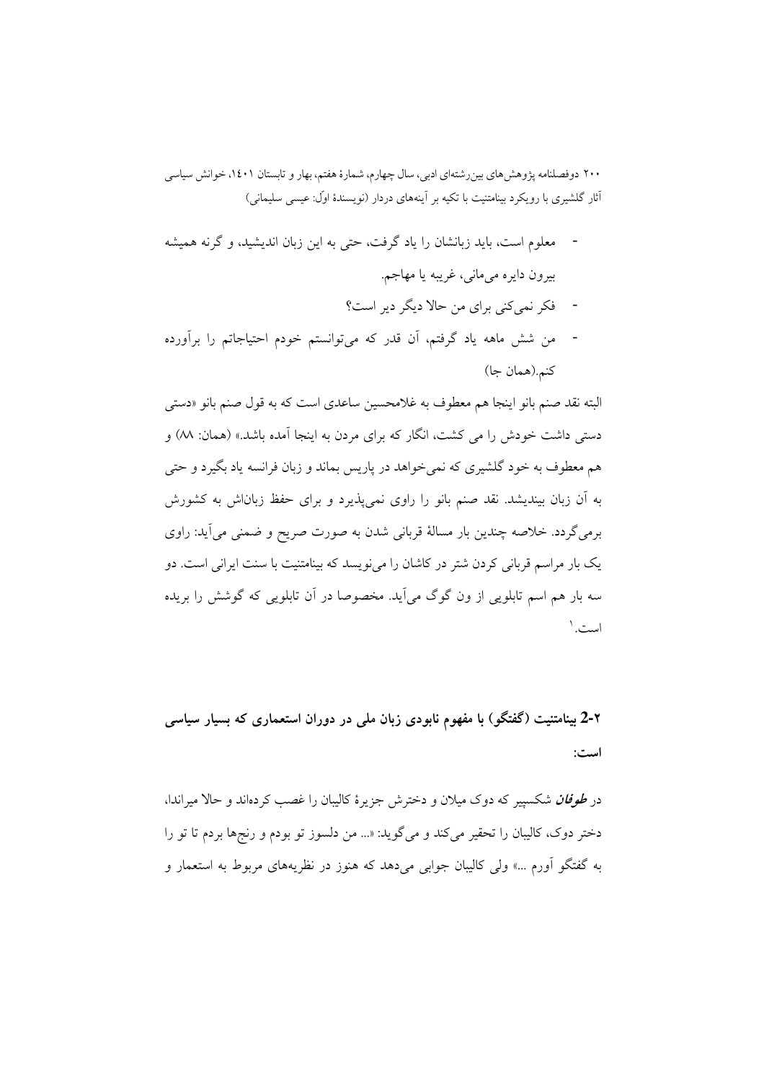- معلوم است، باید زبانشان را یاد گرفت، حتی به این زبان اندیشید، و گرنه همیشه  $\overline{\phantom{a}}$ بیرون دایره میمانی، غریبه یا مهاجم.
	- فکر نمی کنی برای من حالا دیگر دیر است؟
- من شش ماهه یاد گرفتم، آن قدر که میتوانستم خودم احتیاجاتم را برآورده كنم.(همان جا)

البته نقد صنم بانو اينجا هم معطوف به غلامحسين ساعدي است كه به قول صنم بانو «دستي دستی داشت خودش را می کشت، انگار که برای مردن به اینجا آمده باشد.» (همان: M) و هم معطوف به خود گلشیری که نمیخواهد در پاریس بماند و زبان فرانسه یاد بگیرد و حتبی به آن زبان بیندیشد. نقد صنم بانو را راوی نمی پذیرد و برای حفظ زباناش به کشورش برمیگردد. خلاصه چندین بار مسالهٔ قربانی شدن به صورت صریح و ضمنی میآید: راوی یک بار مراسم قربانی کردن شتر در کاشان را می نویسد که بینامتنیت با سنت ایرانی است. دو سه بار هم اسم تابلویی از ون گوگ میآید. مخصوصا در آن تابلویی که گوشش را بریده است.'

۲-2 بینامتنیت (گفتگو) با مفهوم نابودی زبان مل<sub>م</sub> در دوران استعماری که بسیار سیاسی است:

در *طوفان* شکسییر که دوک میلان و دخترش جزیرهٔ کالیبان را غصب کردهاند و حالا میراندا، دختر دوک، کالیبان را تحقیر میکند و میگوید: «... من دلسوز تو بودم و رنجها بردم تا تو را به گفتگو آورم …» ولي كاليبان جوابي مي دهد كه هنوز در نظريههاي مربوط به استعمار و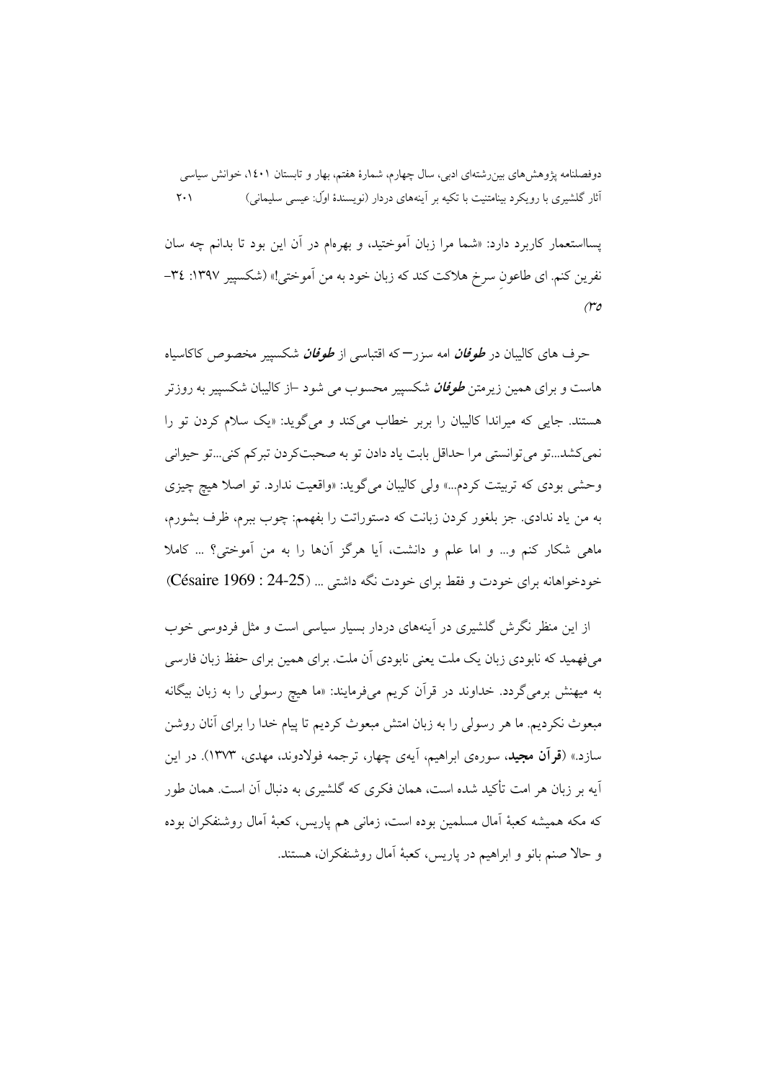پسااستعمار کاربرد دارد: «شما مرا زبان آموختید، و بهرهام در آن این بود تا بدانم چه سان نفرين كنم. اي طاعون سرخ هلاكت كند كه زبان خود به من أموختي!» (شكسيير ١٣٩٧: ٣٤- $(\mathcal{r}$ o

حرف های کالیبان در *طوفان* امه سزر<sup>—</sup>که اقتباسی از *طوفان* شکسییر مخصوص کاکاسیاه هاست و برای همین زیرمتن *طوفان* شکسییر محسوب می شود –از کالیبان شکسییر به روزتر هستند. جایی که میراندا کالبیان را بربر خطاب می کند و می گوید: «یک سلام کردن تو را نمي كشد...تو مي توانستي مرا حداقل بابت ياد دادن تو به صحبتكر دن تبركم كني...تو حيواني وحشی بودی که تربیتت کردم...» ولی کالیبان میگوید: «واقعیت ندارد. تو اصلا هیچ چیزی به من ياد ندادي. جز بلغور كردن زبانت كه دستوراتت را بفهمم: چوب ببرم، ظرف بشورم، ماهي شكار كنم و… و اما علم و دانشت، آيا هرگز آنها را به من آموختي؟ … كاملا خودخواهانه برای خودت و فقط برای خودت نگه داشتی ... (25-24 : Césaire 1969)

از این منظر نگرش گلشیری در آینههای دردار بسیار سیاسی است و مثل فردوسی خوب میفهمید که نابودی زبان یک ملت یعنی نابودی آن ملت. برای همین برای حفظ زبان فارسی به میهنش برمیگردد. خداوند در قرآن کریم میفرمایند: «ما هیچ رسولی را به زبان بیگانه مبعوث نکردیم. ما هر رسولی را به زبان امتش مبعوث کردیم تا پیام خدا را برای آنان روشن سازد.» (**قرآن مجید**، سورهی ابراهیم، آیهی چهار، ترجمه فولادوند. مهدی، ۱۳۷۳). در این آیه بر زبان هر امت تأکید شده است، همان فکری که گلشیری به دنبال آن است. همان طور که مکه همیشه کعبهٔ اَمال مسلمین بوده است، زمانی هم پاریس، کعبهٔ اَمال روشنفکران بوده و حالا صنم بانو و ابراهیم در پاریس، کعبهٔ آمال روشنفکران، هستند.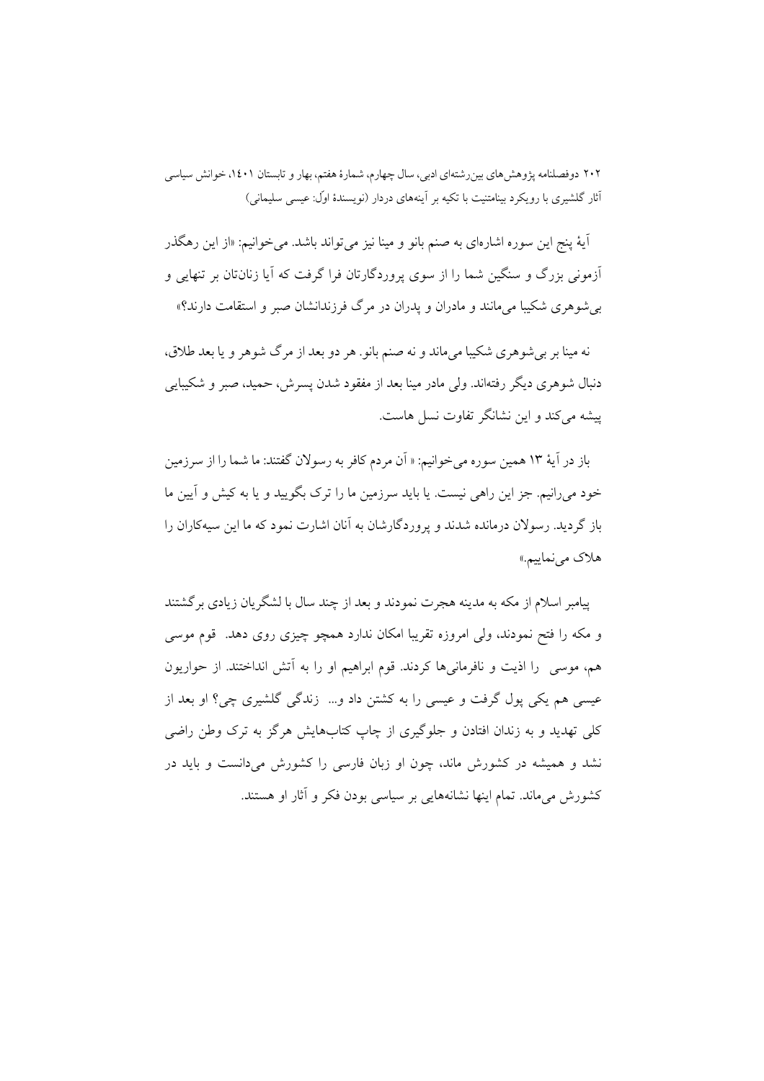آيهٔ پنج اين سوره اشارهاي به صنم بانو و مينا نيز مي تواند باشد. مي خوانيم: «از اين رهگذر آزمونی بزرگ و سنگین شما را از سوی پروردگارتان فرا گرفت که آیا زنانتان بر تنهایی و بر شوهري شکيبا مي مانند و مادران و يدران در مرگ فرزندانشان صبر و استقامت دارند؟»

نه مینا بر برشوهری شکیبا میماند و نه صنم بانو. هر دو بعد از مرگ شوهر و یا بعد طلاق، دنبال شوهری دیگر رفتهاند. ولی مادر مینا بعد از مفقود شدن پسرش، حمید، صبر و شکیبایی ییشه می کند و این نشانگر تفاوت نسل هاست.

باز در آيهٔ ۱۳ همين سوره مي خوانيم: « آن مردم كافر به رسولان گفتند: ما شما را از سرزمين خود می رانیم. جز این راهی نیست. یا باید سرزمین ما را ترک بگویید و یا به کیش و آیین ما باز گردید. رسولان درمانده شدند و پروردگارشان به آنان اشارت نمود که ما این سیهکاران را هلاک می نماییم.»

پیامبر اسلام از مکه به مدینه هجرت نمودند و بعد از چند سال با لشگریان زیادی بر گشتند و مکه را فتح نمودند، ولی امروزه تقریبا امکان ندارد همچو چیزی روی دهد. قوم موسی هم، موسى را اذيت و نافرمانىها كردند. قوم ابراهيم او را به أتش انداختند. از حواريون عیسی هم یکی پول گرفت و عیسی را به کشتن داد و... زندگی گلشیری چی؟ او بعد از کلي تهديد و به زندان افتادن و جلوگيري از چاپ کتابهايش هرگز به ترک وطن راضي نشد و همیشه در کشورش ماند، چون او زبان فارسی را کشورش میدانست و باید در کشورش مے ماند. تمام اپنھا نشانهھایے پر سیاسے پودن فکر و آثار او هستند.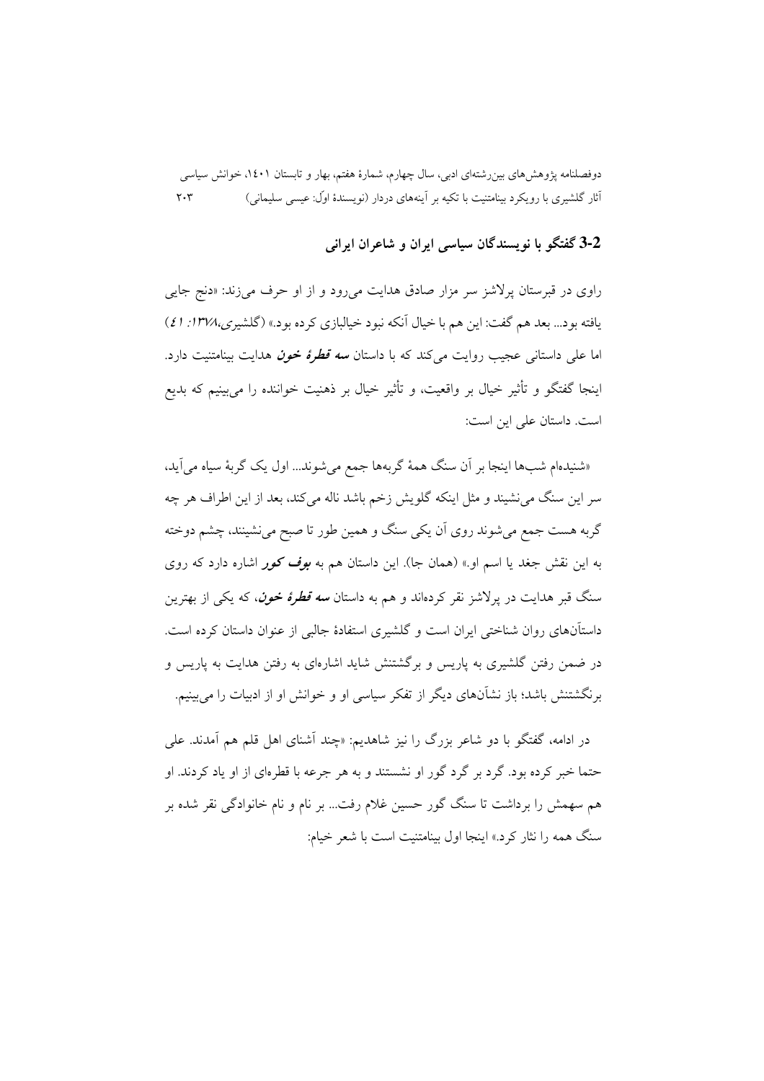## 3-2 گفتگو با نویسندگان سیاسی ایران و شاعران ایرانی

راوی در قبرستان پرلاشز سر مزار صادق هدایت میرود و از او حرف میزند: «دنج جایی یافته بود... بعد هم گفت: این هم با خیال آنکه نبود خیالبازی کرده بود.» (گلشیری،۱۳۷۸: ٤١) اما علی داستانی عجیب روایت می کند که با داستان *سه قطرهٔ خون* هدایت بینامتنیت دارد. اینجا گفتگو و تأثیر خیال بر واقعیت، و تأثیر خیال بر ذهنیت خواننده را می,بینیم که بدیع است. داستان علی این است:

«شنیدهام شبها اینجا بر آن سنگ همهٔ گربهها جمع میشوند... اول یک گربهٔ سیاه می اید، سر این سنگ می نشیند و مثل اینکه گلویش زخم باشد ناله می کند، بعد از این اطراف هر چه گربه هست جمع می شوند روی اَن یکی سنگ و همین طور تا صبح می نشینند، چشم دوخته به این نقش جغد یا اسم او.» (همان جا). این داستان هم به *بوف کور* اشاره دارد که روی سنگ قبر هدایت در برلاشز نقر کردهاند و هم به داستان *سه قطرهٔ خون*، که یکی از بهترین داستآنهای روان شناختی ایران است و گلشیری استفادهٔ جالبی از عنوان داستان کرده است. در ضمن رفتن گلشیری به پاریس و برگشتنش شاید اشارهای به رفتن هدایت به پاریس و برنگشتنش باشد؛ باز نشآنهای دیگر از تفکر سیاسی او و خوانش او از ادبیات را میبینیم.

در ادامه، گفتگو با دو شاعر بزرگ را نیز شاهدیم: «چند آشنای اهل قلم هم آمدند. علی حتما خبر کرده بود. گرد بر گرد گور او نشستند و به هر جرعه با قطرهای از او یاد کردند. او هم سهمش را برداشت تا سنگ گور حسین غلام رفت… بر نام و نام خانوادگی نقر شده بر سنگ همه را نثار کرد.» اینجا اول سنامتنت است با شعر خیام: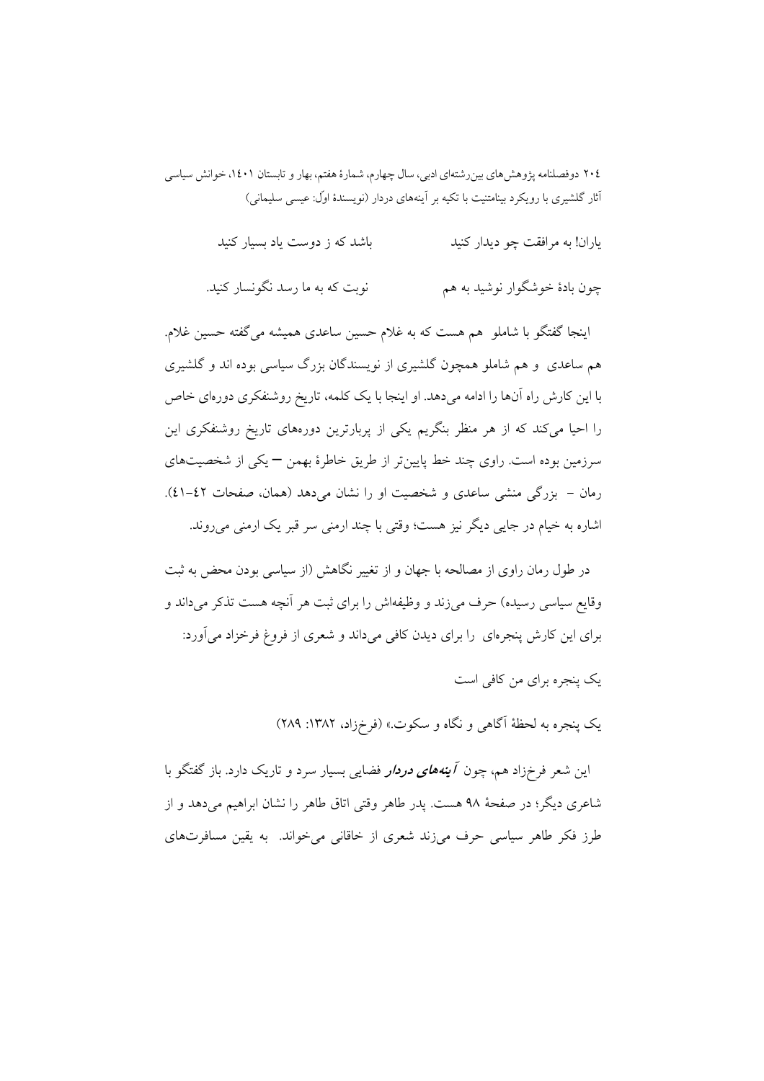| باشد که ز دوست یاد بسیار کنید | یاران! به مرافقت چو دیدار کنید |
|-------------------------------|--------------------------------|
|                               |                                |

چون بادهٔ خوشگوار نوشید به هم نوبت که به ما رسد نگونسار کنید.

اینجا گفتگو با شاملو ً هم هست که به غلام حسین ساعدی همیشه می گفته حسین غلام. هم ساعدی و هم شاملو همچون گلشیری از نویسندگان بزرگ سیاسی بوده اند و گلشیری با این کارش راه آنها را ادامه میدهد. او اینجا با یک کلمه، تاریخ روشنفکری دورهای خاص را احیا میکند که از هر منظر بنگریم یکی از پربارترین دورههای تاریخ روشنفکری این سرزمین بوده است. راوی چند خط پایینتر از طریق خاطرهٔ بهمن — یکی از شخصیتهای رمان – بزرگی منشی ساعدی و شخصیت او را نشان می دهد (همان، صفحات ٤٢-٤١). اشاره به خیام در جایی دیگر نیز هست؛ وقتی با چند ارمنی سر قبر یک ارمنی می روند.

در طول رمان راوی از مصالحه با جهان و از تغییر نگاهش (از سیاسی بودن محض به ثبت وقایع سیاسی رسیده) حرف میزند و وظیفهاش را برای ثبت هر آنچه هست تذکر می داند و برای این کارش پنجرهای را برای دیدن کافی میداند و شعری از فروغ فرخزاد میآورد:

یک پنجره برای من کافی است

یک پنجره به لحظهٔ آگاه<sub>ی</sub> و نگاه و سکوت.» (فرخزاد، ۱۳۸۲: ۲۸۹)

این شعر فرخزاد هم، چون *آینههای دردار* فضایی بسیار سرد و تاریک دارد. باز گفتگو با شاعري ديگر؛ در صفحهٔ ۹۸ هست. يدر طاهر وقتي اتاق طاهر را نشان ابراهيم مي دهد و از طرز فکر طاهر سیاسی حرف می زند شعری از خاقانی می خواند. به یقین مسافرتهای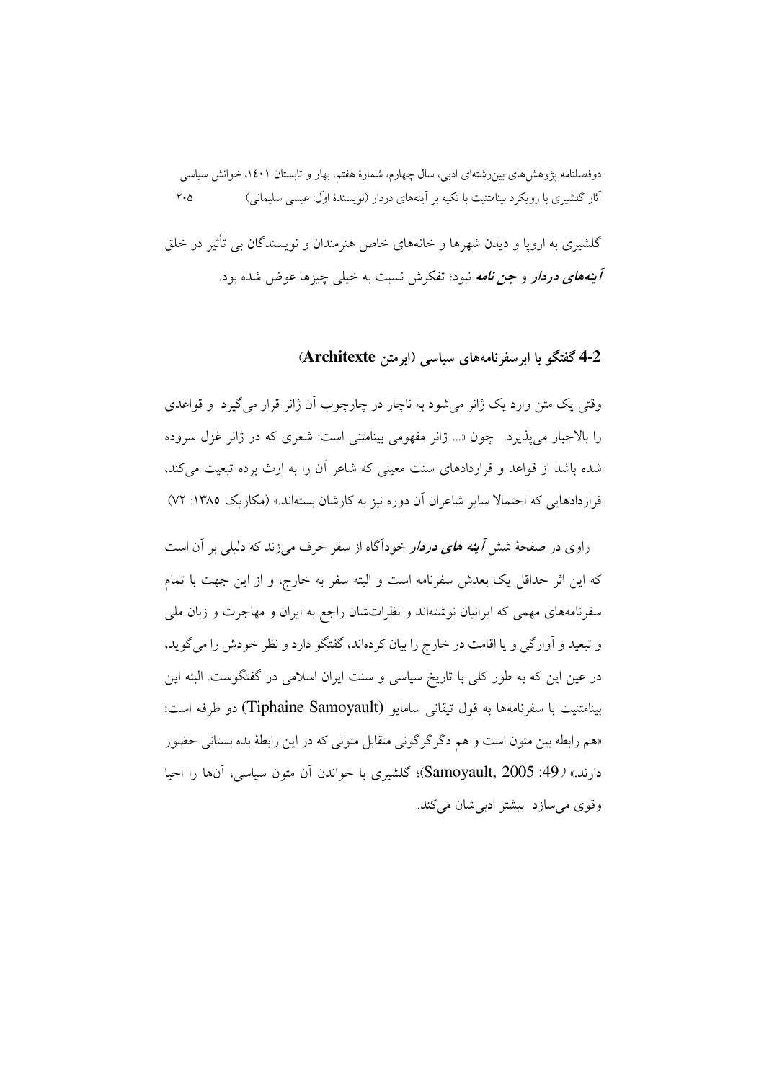گلشیری به اروپا و دیدن شهرها و خانههای خاص هنرمندان و نویسندگان بی تأثیر در خلق آینههای دردار و جن نامه نبود؛ تفکرش نسبت به خیلی چیزها عوض شده بود.

## 4-2 گفتگو با ابر سفرنامههای سیاسی (ابرمتن Architexte)

وقتي يک متن وارد يک ژانر مي شود به ناچار در چارچوب آن ژانر قرار مي گيرد و قواعدي را بالاجبار می پذیرد. چون «... ژانر مفهومی بینامتنی است: شعری که در ژانر غزل سروده شده باشد از قواعد و قراردادهای سنت معینی که شاعر آن را به ارث برده تبعیت می کند، قرار دادهایی که احتمالا سایر شاعران آن دوره نیز به کارشان بستهاند.» (مکاریک ۱۳۸۵: ۷۲)

راوی در صفحهٔ شش *آینه های دردار* خودآگاه از سفر حرف میزند که دلیلی بر آن است که این اثر حداقل یک بعدش سفرنامه است و البته سفر به خارج، و از این جهت با تمام سفرنامههای مهمی که ایرانیان نوشتهاند و نظراتشان راجع به ایران و مهاجرت و زبان ملی و تبعید و آوارگی و یا اقامت در خارج را بیان کردهاند، گفتگو دارد و نظر خودش را می گوید، در عین این که به طور کلی با تاریخ سیاسی و سنت ایران اسلامی در گفتگوست. البته این بينامتنيت با سفرنامهها به قول تيقاني سامايو (Tiphaine Samoyault) دو طرفه است: «هم رابطه بين متون است و هم دگر گرگوني متقابل متوني كه در اين رابطهٔ بده بستاني حضور دارند.» (49: Samoyault, 2005)؛ گلشیری با خواندن آن متون سیاسی، آنها را احیا وقوی می سازد بیشتر ادبی شان می کند.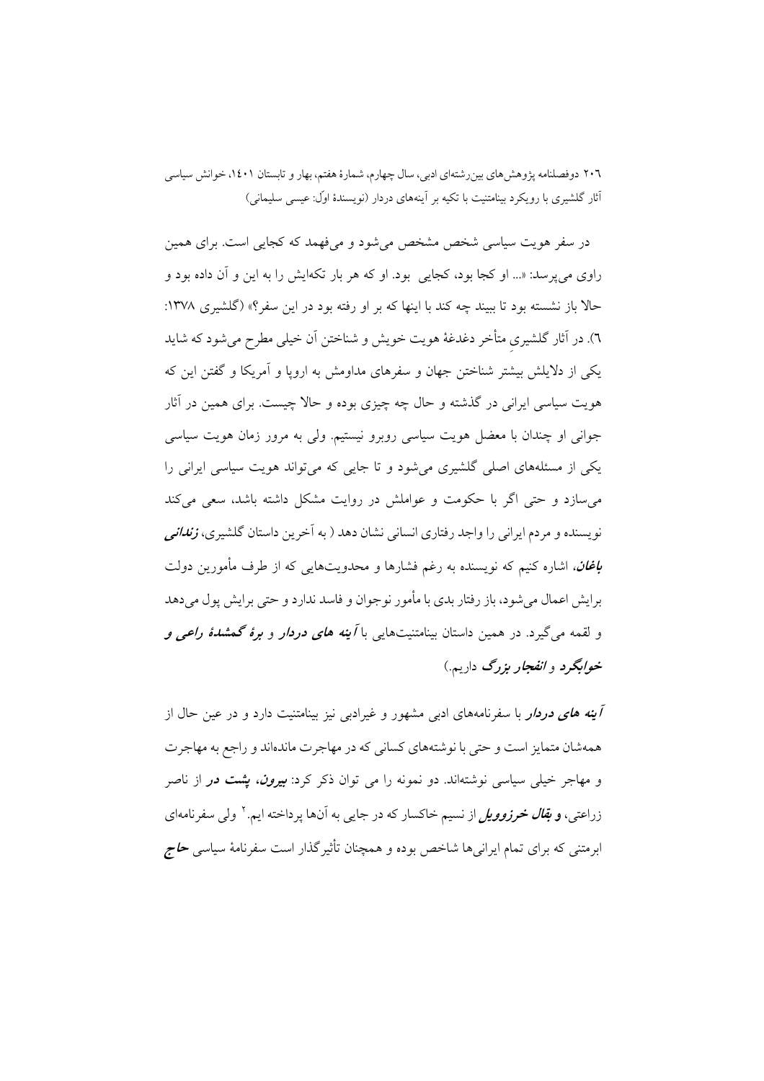در سفر هویت سیاسی شخص مشخص میشود و میفهمد که کجایی است. برای همین راوي مي پرسد: «... او كجا بود، كجايي بود. او كه هر بار تكهايش را به اين و آن داده بود و حالاً باز نشسته بود تا بیبند چه کند با اینها که بر او رفته بود در این سفر؟» (گلشیری ۱۳۷۸: ٦). در آثار گلشیری متأخر دغدغهٔ هویت خویش و شناختن آن خیلی مطرح می شود که شاید یکی از دلایلش بیشتر شناختن جهان و سفرهای مداومش به اروپا و آمریکا و گفتن این که هویت سیاسی ایرانی در گذشته و حال چه چیزی بوده و حالا چیست. برای همین در آثار جوانی او چندان با معضل هویت سیاسی روبرو نیستیم. ولی به مرور زمان هویت سیاسی یکی از مسئلههای اصلی گلشیری میشود و تا جایی که میتواند هویت سیاسی ایرانی را می سازد و حتی اگر با حکومت و عواملش در روایت مشکل داشته باشد، سعی می کند نویسنده و مردم ایرانی را واجد رفتاری انسانی نشان دهد ( به آخرین داستان گلشیری، *زندانی* **ب***اغان،* اشاره کنیم که نویسنده به رغم فشارها و محدویتهایی که از طرف مأمورین دولت برایش اعمال می شود، باز رفتار بدی با مأمور نوجوان و فاسد ندارد و حتی برایش پول می دهد و لقمه می گیرد. در همین داستان بینامتنیتهایی با *آینه های دردار* و *برهٔ گمشدهٔ راعی و* خ*وابگرد و انفجار بزرگ دا*ریم.)

**/ینه های دردار** با سفرنامههای ادب<sub>ی</sub> مشهور و غیرادب<sub>ی</sub> نیز بینامتنیت دارد و در عین حال از همهشان متمایز است و حتی با نوشتههای کسانی که در مهاجرت ماندهاند و راجع به مهاجرت و مهاجر خیلی سیاسی نوشتهاند. دو نمونه را می توان ذکر کرد: *بیرون، پشت در* از ناصر زراعتی، **و** *بقال خرزوویل* **ا**ز نسیم خاکسار که در جای<sub>یی</sub> به آنها پرداخته ایم.<sup>۲</sup> ولی سفرنامهای ابرمتنی که برای تمام ایران<sub>ی</sub>ها شاخص بوده و همچنان تأثیر گذار است سفرنامهٔ سیاسی **ح***اج*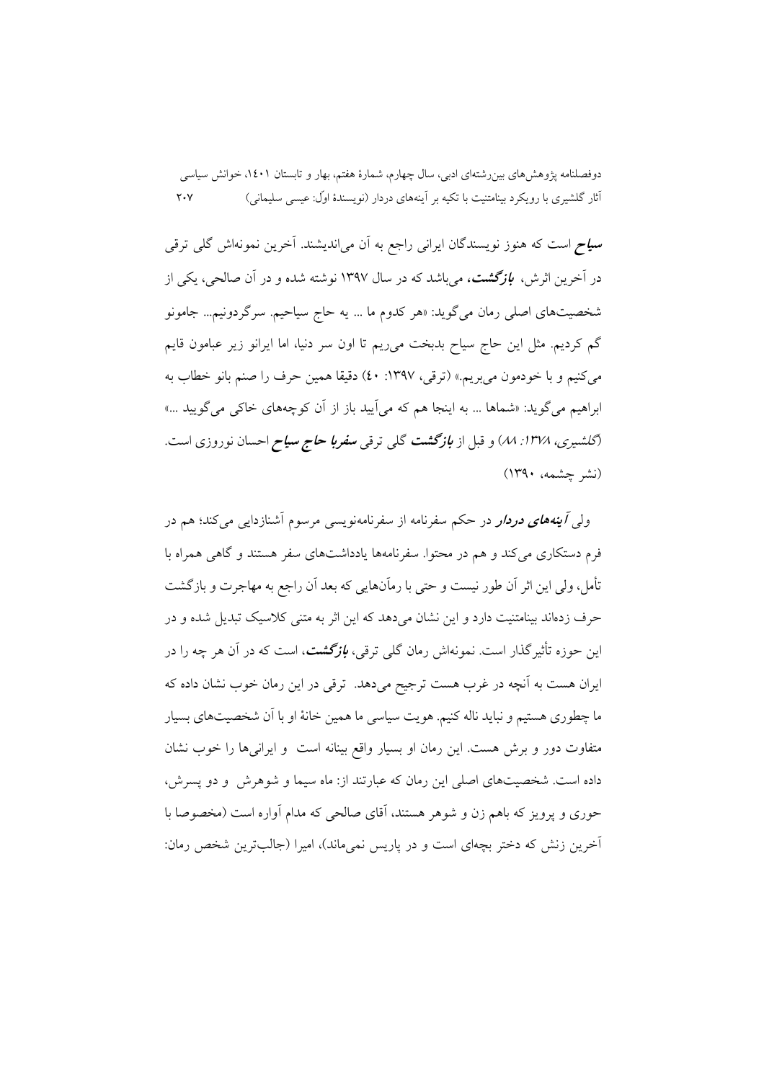**سیاح** است که هنوز نویسندگان ایرانی راجع به آن می|ندیشند. آخرین نمونهاش گلی ترقی در آخرین اثرش، **ب***ازگشت، می ب***ا**شد که در سال ۱۳۹۷ نوشته شده و در آن صالحی، یکی از شخصیتهای اصلی رمان میگوید: «هر کدوم ما … یه حاج سیاحیم. سرگردونیم… جامونو گم کردیم. مثل این حاج سیاح بدبخت می٫یم تا اون سر دنیا، اما ایرانو زیر عبامون قایم مي كنيم و با خودمون مي بريم.» (ترقى، ١٣٩٧: ٤٠) دقيقا همين حرف را صنم بانو خطاب به ابراهیم می گوید: «شماها … به اینجا هم که می آیید باز از آن کوچههای خاکی می گویید …» *(گلشیری، ۱۳۷۸: ۸۸) و قبل از بازگشت گلی ترقی <i>سفربا حاج سیاح احسان نوروزی است.* (نشر چشمه، ۱۳۹۰)

ولي *آينههاي دردار در حکم سفرنامه از سفرنامهنويسي م*رسوم آشنازدايي مي کند؛ هم در فرم دستکاری می کند و هم در محتوا. سفرنامهها یادداشتهای سفر هستند و گاهی همراه با تأمل، ولي اين اثر أن طور نيست و حتى با رماًنهايي كه بعد أن راجع به مهاجرت و بازگشت حرف زدهاند بینامتنیت دارد و این نشان می دهد که این اثر به متنی کلاسیک تبدیل شده و در این حوزه تأثیرگذار است. نمونهاش رمان گل<sub>ی</sub> ترقی، *بازگشت، است که در آن هر چه را د*ر ایران هست به آنچه در غرب هست ترجیح میدهد. ترقی در این رمان خوب نشان داده که ما چطوری هستیم و نباید ناله کنیم. هویت سیاسی ما همین خانهٔ او با اَن شخصیتهای بسیار متفاوت دور و برش هست. این رمان او بسیار واقع بینانه است و ایرانیها را خوب نشان داده است. شخصیتهای اصلی این رمان که عبارتند از: ماه سیما و شوهرش و دو پسرش، حوری و یرویز که باهم زن و شوهر هستند، آقای صالحی که مدام آواره است (مخصوصا با آخرین زنش که دختر بچهای است و در پاریس نمیماند)، امیرا (جالبترین شخص رمان: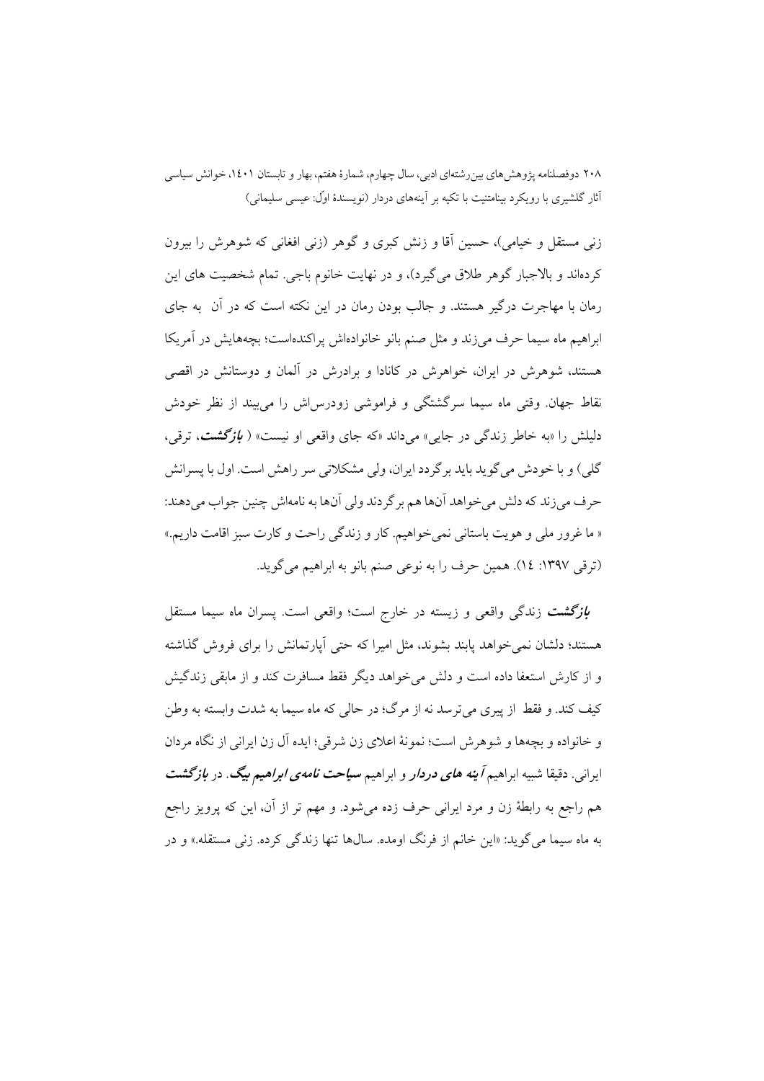زنی مستقل و خیامی)، حسین آقا و زنش کبری و گوهر (زنی افغانی که شوهرش را بیرون کردهاند و بالاجبار گوهر طلاق می گیرد)، و در نهایت خانوم باجی. تمام شخصیت های این رمان با مهاجرت درگیر هستند. و جالب بودن رمان در این نکته است که در آن ً به جای ابراهیم ماه سیما حرف می زند و مثل صنم بانو خانوادهاش پراکندهاست؛ بچههایش در آمریکا هستند، شوهرش در ایران، خواهرش در کانادا و برادرش در آلمان و دوستانش در اقصی نقاط جهان. وقتی ماه سیما سرگشتگی و فراموشی زودرس اش را می بیند از نظر خودش دلیلش را «به خاطر زندگی در جایی» میداند «که جای واقعی او نیست» ( *بازگشت*، ترقی، گلمی) و با خودش میگوید باید برگردد ایران، ولی مشکلاتی سر راهش است. اول با پسرانش حرف مي زند كه دلش مي خواهد آنها هم بر گردند ولي آنها به نامهاش چنين جواب مي دهند: « ما غرور ملي و هويت باستاني نمي خواهيم. كار و زندگي راحت و كارت سبز اقامت داريم.» (ترقی ١٣٩٧: ١٤). همين حرف را به نوعي صنم بانو به ابراهيم مي گويد.

<mark>ب*ازگشت* زن</mark>دگی واقعی و زیسته در خارج است؛ واقعی است. پسران ماه سیما مستقل هستند؛ دلشان نمی خواهد پابند بشوند، مثل امیرا که حتی آپارتمانش را برای فروش گذاشته و از کارش استعفا داده است و دلش می خواهد دیگر فقط مسافرت کند و از مایقی زندگیش كيف كند. و فقط از پيري مي ترسد نه از مرگ؛ در حالي كه ماه سيما به شدت وابسته به وطن و خانواده و بچهها و شوهرش است؛ نمونهٔ اعلای زن شرقی؛ ایده آل زن ایرانی از نگاه مردان ایرانی. دقیقا شبیه ابراهیم *آینه های دردار* و ابراهیم *سیاحت نامهی ابراهیم بیگ. در بازگشت* هم راجع به رابطهٔ زن و مرد ایرانی حرف زده میشود. و مهم تر از آن، این که پرویز راجع به ماه سيما مي گويد: «اين خانم از فرنگ اومده. سالها تنها زندگي كرده. زني مستقله.» و در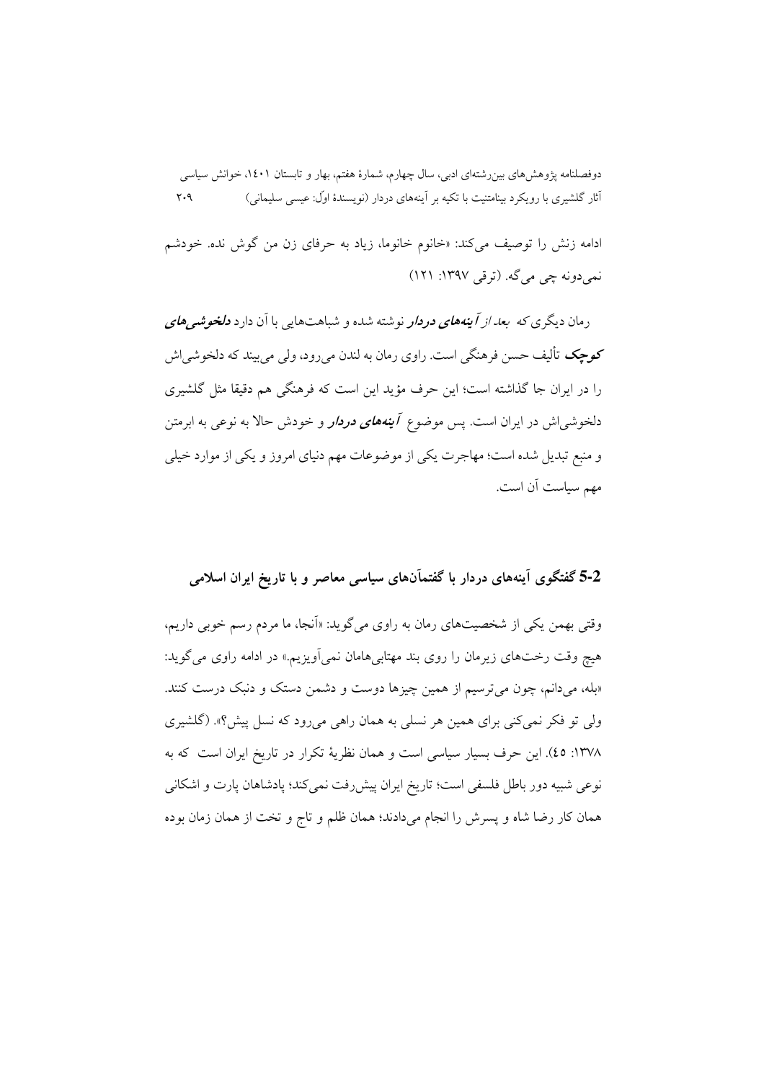ادامه زنش را توصیف میکند: «خانوم خانوما، زیاد به حرفای زن من گوش نده. خودشم نمي دونه چې مې گه. (ترقی ۱۳۹۷: ۱۲۱)

رمان دیگری *که بعد از آینههای دردار* نوشته شده و شباهتهایی با آن دارد **دلخو***شیهای* **کوچک** تألیف حسن فرهنگی است. راوی رمان به لندن می رود، ولی می بیند که دلخوشبی اش را در ایران جا گذاشته است؛ این حرف مؤید این است که فرهنگی هم دقیقا مثل گلشیری دلخوشی|ش در ایران است. پس موضوع <mark>آینهه*ای دردار* و</mark> خودش حالا به نوعی به ابرمتن و منبع تبدیل شده است؛ مهاجرت یکی از موضوعات مهم دنیای امروز و یکی از موارد خیلی مهم سياست آن است.

5-2 گفتگوی آینههای دردار با گفتمآنهای سیاسی معاصر و با تاریخ ایران اسلامی

وقتی بهمن یکی از شخصیتهای رمان به راوی می گوید: «اَنجا، ما مردم رسم خوبی داریم، هیچ وقت رختهای زیرمان را روی بند مهتابی هامان نمی اَویزیم.» در ادامه راوی می گوید: «بله، میدانم، چون می ترسیم از همین چیزها دوست و دشمن دستک و دنبک درست کنند. ولي تو فكر نمي كني براي همين هر نسلي به همان راهي مي رود كه نسل پيش؟». (گلشيري ١٣٧٨: ٤٥). اين حرف بسيار سياسي است و همان نظرية تكرار در تاريخ ايران است كه به نوعی شبیه دور باطل فلسفی است؛ تاریخ ایران پیش رفت نمی کند؛ پادشاهان پارت و اشکانی همان كار رضا شاه و پسرش را انجام مىدادند؛ همان ظلم و تاج و تخت از همان زمان بوده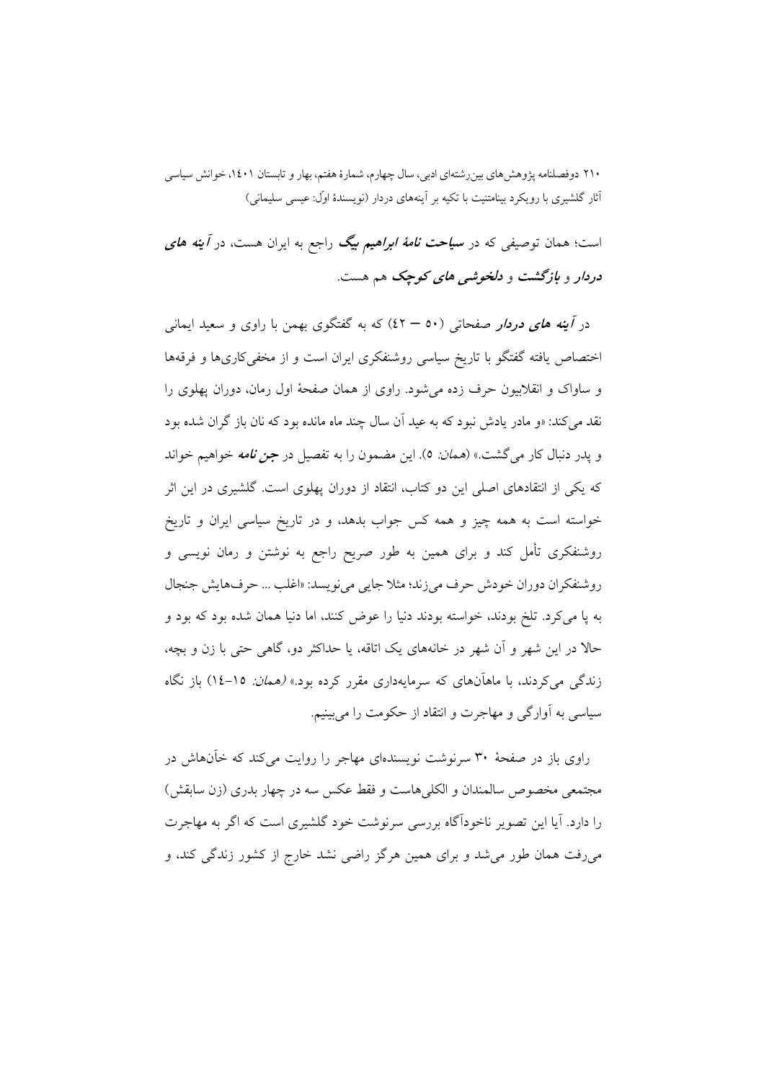است؛ همان توصیفی که در **سی***احت نامهٔ ابراهیم بیگ* راجع به ایران هست، در *آینه های* دردار و بازگشت و دلخوشبی های کوچک هم هست.

در *آینه های دردار صفح*ات<sub>ی</sub> (۵۰ – ٤٢) که به گفتگوی بهمن با راوی و سعید ایمان<sub>ی</sub> اختصاص یافته گفتگو با تاریخ سیاسی روشنفکری ایران است و از مخفی کاریها و فرقهها و ساواک و انقلابیون حرف زده می شود. راوی از همان صفحهٔ اول رمان، دوران یهلوی را نقد می کند: «و مادر یادش نبود که به عید آن سال چند ماه مانده بود که نان باز گران شده بود و يدر دنبال كار مي گشت.» (*همان:* ٥). اين مضمون را به تفصيل در *جن نامه* خواهيم خواند که یکی از انتقادهای اصلی این دو کتاب، انتقاد از دوران پهلوی است. گلشیری در این اثر خواسته است به همه چیز و همه کس جواب بدهد، و در تاریخ سیاسی ایران و تاریخ روشنفکری تأمل کند و برای همین به طور صریح راجع به نوشتن و رمان نویسی و روشنفكران دوران خودش حرف مي زند؛ مثلا جايبي مي نويسد: «اغلب ... حرفهايش جنجال به پا میکرد. تلخ بودند، خواسته بودند دنیا را عوض کنند، اما دنیا همان شده بود که بود و حالا در این شهر و آن شهر در خانههای یک اتاقه، یا حداکثر دو، گاهی حتی با زن و بچه، زندگی می کردند، با ماهآنهای که سرمایهداری مقرر کرده بود.» *(همان: ۱۵–۱٤*) باز نگاه سیاسی به آوارگی و مهاجرت و انتقاد از حکومت را میبینیم.

راوی باز در صفحهٔ ۳۰ سرنوشت نویسندهای مهاجر را روایت می کند که خآنهاش در مجتمعي مخصوص سالمندان و الكلي هاست و فقط عكس سه در چهار بدري (زن سابقش) را دارد. آبا این تصویر ناخودآگاه بررسی سرنوشت خود گلشیری است که اگر به مهاجرت میرفت همان طور می شد و برای همین هرگز راضی نشد خارج از کشور زندگی کند، و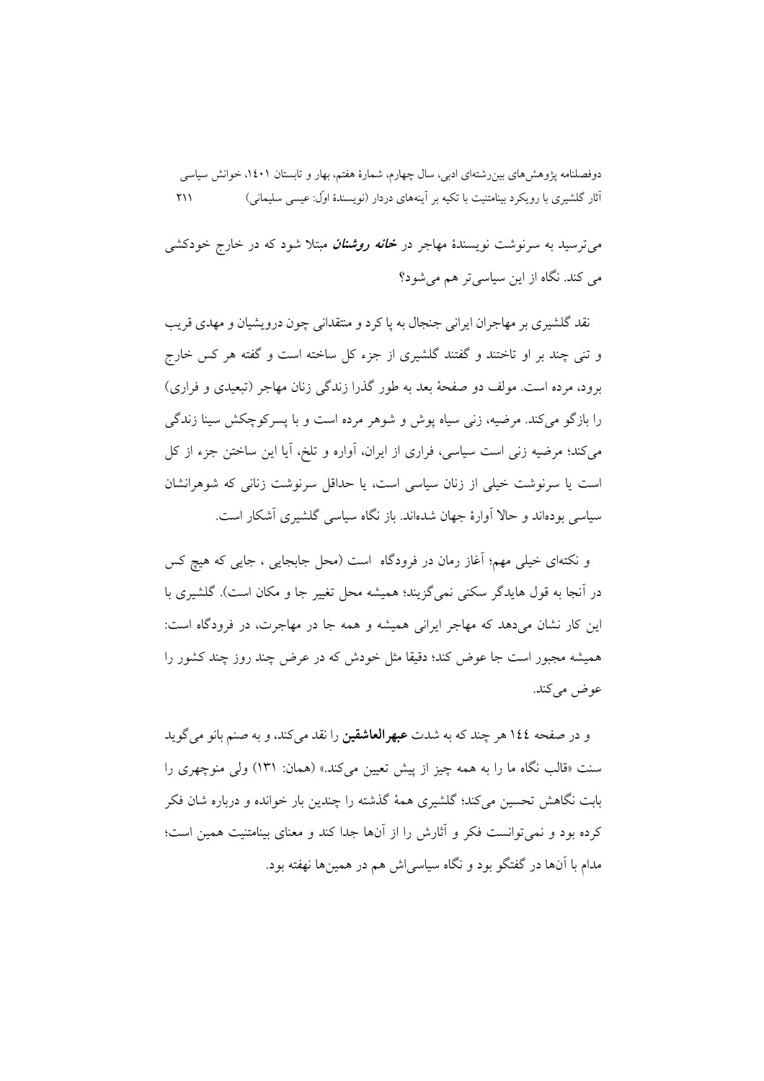می ترسید به سرنوشت نویسندهٔ مهاجر در **خانه** *روشنان* **م**بتلا شود که در خارج خودکشی می کند. نگاه از این سیاسی تر هم میشود؟

نقد گلشیری بر مهاجران ایرانی جنجال به یا کرد و منتقدانی چون درویشیان و مهدی قریب و تنی چند بر او تاختند و گفتند گلشیری از جزء کل ساخته است و گفته هر کس خارج برود، مرده است. مولف دو صفحهٔ بعد به طور گذرا زندگی زنان مهاجر (تبعیدی و فراری) را بازگو می کند. مرضیه، زنبی سیاه پوش و شوهر مرده است و با یسرکوچکش سینا زندگی می کند؛ مرضیه زنی است سیاسی، فراری از ایران، آواره و تلخ، آیا این ساختن جزء از کل است یا سرنوشت خیلی از زنان سیاسی است، یا حداقل سرنوشت زنانی که شوهرانشان سیاسی بودهاند و حالا آوارهٔ جهان شدهاند. باز نگاه سیاسی گلشیری آشکار است.

و نکتهای خیلی مهم؛ آغاز رمان در فرودگاه است (محل جابجایی ، جایبی که هیچ کس در آنجا به قول هایدگر سکنی نمی گزیند؛ همیشه محل تغییر جا و مکان است). گلشیری با این کار نشان می دهد که مهاجر ایرانی همیشه و همه جا در مهاجرت، در فرودگاه است: همیشه مجبور است جا عوض کند؛ دقیقا مثل خودش که در عرض چند روز چند کشور را عوض مي كند.

و در صفحه ١٤٤ هر چند که به شدت **عبهرالعاشقین** را نقد میکند، و به صنم بانو میگوید سنت «قالب نگاه ما را به همه چیز از پیش تعیین میکند.» (همان: ۱۳۱) ولی منوچهری را بابت نگاهش تحسین می کند؛ گلشیری همهٔ گذشته را چندین بار خوانده و درباره شان فکر کرده بود و نمی توانست فکر و آثارش را از آنها جدا کند و معنای بینامتنیت همین است؛ مدام با آنها در گفتگو بود و نگاه سیاسی اش هم در همینها نهفته بود.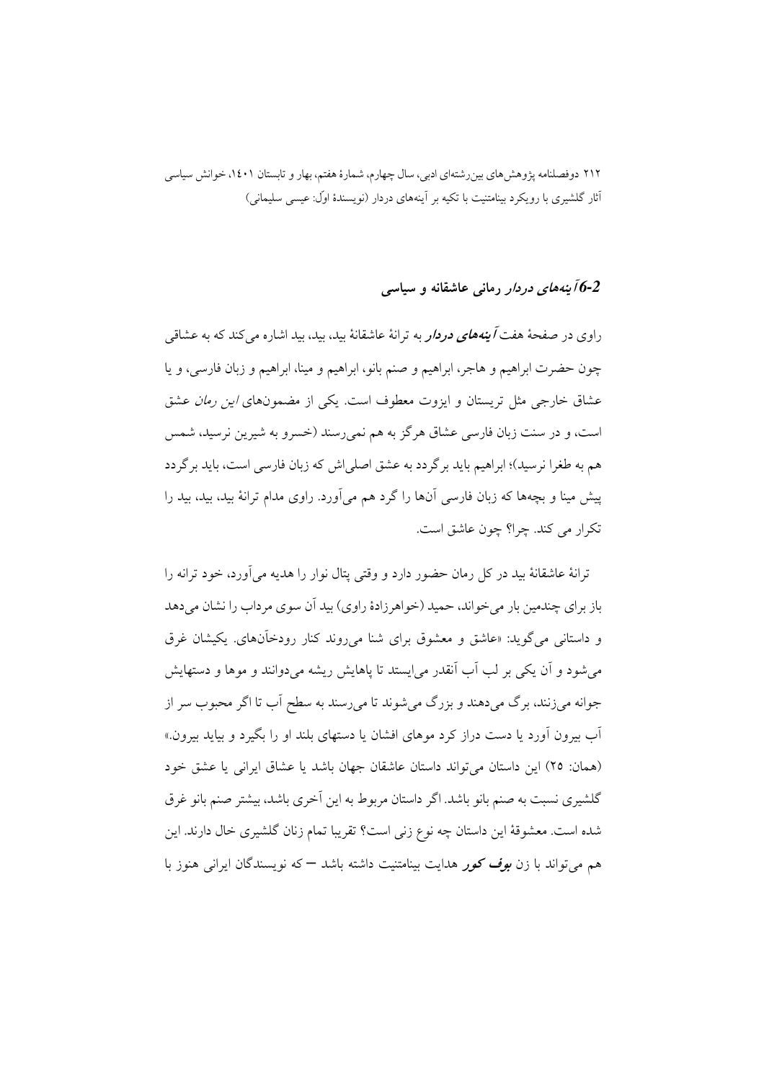6-2 *آینههای دردار* رمانی عاشقانه و سیاسی

راوی در صفحهٔ هفت *آینههای دردار به* ترانهٔ عاشقانهٔ بید، بید، بید اشاره می کند که به عشاقی چون حضرت ابراهیم و هاجر، ابراهیم و صنم بانو، ابراهیم و مینا، ابراهیم و زبان فارسی، و یا عشاق خارجی مثل تریستان و ایزوت معطوف است. یکی از مضمونهای *این رمان* عشق است، و در سنت زبان فارسی عشاق هرگز به هم نمی رسند (خسرو به شیرین نرسید، شمس هم به طغرا نرسید)؛ ابراهیم باید بر گردد به عشق اصلی اش که زبان فارسی است، باید بر گردد پیش مینا و بچهها که زبان فارسی آنها را گرد هم می[ورد. راوی مدام ترانهٔ بید، بید، بید را تكرار مي كند. چرا؟ چون عاشق است.

ترانهٔ عاشقانهٔ بید در کل رمان حضور دارد و وقتی پتال نوار را هدیه می آورد، خود ترانه را باز بر ای چندمین بار می خواند، حمید (خواهر زادهٔ راوی) بید آن سوی مرداب را نشان می دهد و داستانی می گوید: «عاشق و معشوق برای شنا می روند کنار رودخآنهای. یکیشان غرق می شود و آن یکی بر لب آب آنقدر می ایستد تا یاهایش ریشه می دوانند و موها و دستهایش جوانه میزنند، برگ میدهند و بزرگ میشوند تا میرسند به سطح اَب تا اگر محبوب سر از اّب بیرون اَورد یا دست دراز کرد موهای افشان یا دستهای بلند او را بگیرد و بیاید بیرون.» (همان: ٢٥) اين داستان مي تواند داستان عاشقان جهان باشد يا عشاق ايراني يا عشق خود گلشیری نسبت به صنم بانو باشد. اگر داستان مربوط به این آخری باشد، بیشتر صنم بانو غرق شده است. معشوقهٔ این داستان چه نوع زنی است؟ تقریبا تمام زنان گلشیری خال دارند. این هم می تواند با زن *بوف کور هدایت بینامتنیت داشته باشد — که نویسندگان ایرانی هنو*ز با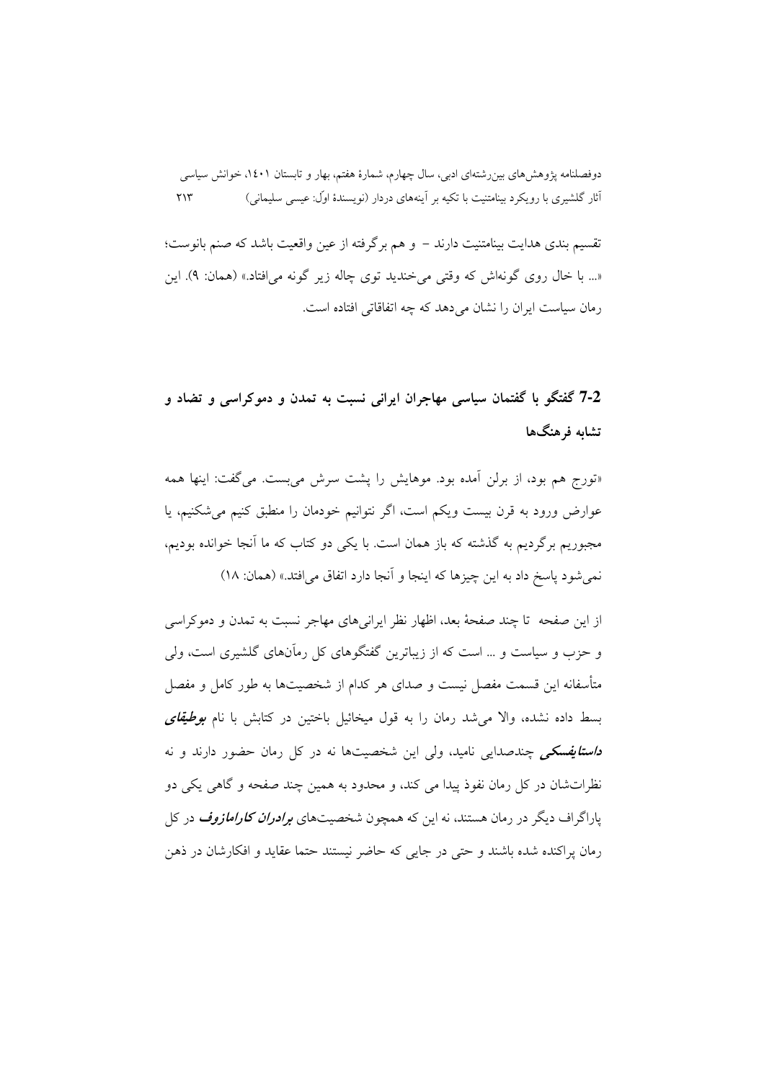تقسیم بندی هدایت بینامتنیت دارند – و هم برگرفته از عین واقعیت باشد که صنم بانوست؛ «... با خال روی گونهاش که وقتی می خندید توی چاله زیر گونه می افتاد.» (همان: ۹). این رمان سیاست ایران را نشان می دهد که چه اتفاقاتی افتاده است.

# 7-2 گفتگو با گفتمان سیاسی مهاجران ایرانی نسبت به تمدن و دموکراسی و تضاد و تشابه فرهنگها

«تورج هم بود، از برلن آمده بود. موهایش را پشت سرش می بست. میگفت: اینها همه عوارض ورود به قرن بیست ویکم است، اگر نتوانیم خودمان را منطبق کنیم می شکنیم، یا مجبوریم برگردیم به گذشته که باز همان است. با یکی دو کتاب که ما آنجا خوانده بودیم، نمي شود ياسخ داد به اين چيزها كه اينجا و آنجا دارد اتفاق مي افتد.» (همان: ١٨)

از این صفحه تا چند صفحهٔ بعد، اظهار نظر ایرانیهای مهاجر نسبت به تمدن و دموکراسی و حزب و سیاست و … است که از زیباترین گفتگوهای کل رماّنهای گلشیری است، ولی متأسفانه این قسمت مفصل نیست و صدای هر کدام از شخصیتها به طور کامل و مفصل بسط داده نشده، والا می شد رمان را به قول میخائیل باختین در کتابش با نام *بوطیقای* <mark>د*استایفسکی چندصدایی نامید، ولی این شخصیتها نه در کل رمان حضور دارند و نه</mark></mark>* نظراتشان در کل رمان نفوذ پیدا می کند، و محدود به همین چند صفحه و گاهی یکی دو پاراگراف دیگر در رمان هستند، نه این که همچون شخصیتهای *برادران کارامازوف* در کل رمان یراکنده شده باشند و حتی در جایی که حاضر نستند حتما عقابد و افکارشان در ذهن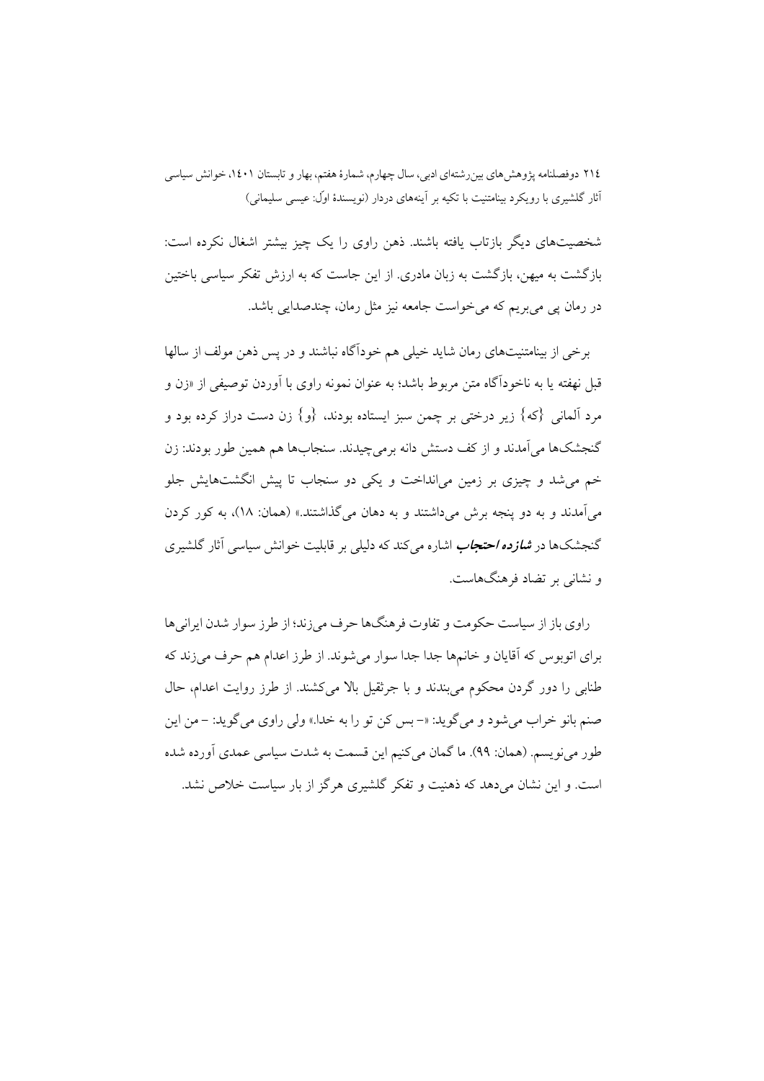شخصیتهای دیگر بازتاب یافته باشند. ذهن راوی را یک چیز بیشتر اشغال نکرده است: بازگشت به میهن، بازگشت به زبان مادری. از این جاست که به ارزش تفکر سیاسی باختین در رمان پی می بریم که می خواست جامعه نیز مثل رمان، چندصدایی باشد.

برخی از بینامتنیتهای رمان شاید خیلی هم خودآگاه نباشند و در پس ذهن مولف از سالها قبل نهفته یا به ناخوداًگاه متن مربوط باشد؛ به عنوان نمونه راوی با اَوردن توصیفی از «زن و مرد آلمانی {که} زیر درختی بر چمن سبز ایستاده بودند، {و} زن دست دراز کرده بود و گنجشکها مي آمدند و از کف دستش دانه برمي چيدند. سنجابها هم همين طور بودند: زن خم می شد و چیزی بر زمین می|نداخت و یکی دو سنجاب تا پیش انگشتهایش جلو مي آمدند و به دو پنجه برش مي داشتند و به دهان مي گذاشتند.» (همان: ۱۸)، به کور کردن گنجشکها در *شازده احتجاب اشاره می کند که دلیلی بر قابلیت خوانش سیاسی* آثار گلشیری و نشانی بر تضاد فرهنگهاست.

راوي باز از سياست حكومت و تفاوت فرهنگها حرف مي زند؛ از طرز سوار شدن ايراني ها براي اتوبوس كه آقايان و خانمها جدا جدا سوار مي شوند. از طرز اعدام هم حرف مي زند كه طنابی را دور گردن محکوم می بندند و با جرثقیل بالا میکشند. از طرز روایت اعدام، حال صنم بانو خراب مي شود و مي گويد: «- بس كن تو را به خدا.» ولي راوي مي گويد: - من اين طور مي نو يسم. (همان: ٩٩). ما گمان مي كنيم اين قسمت به شدت سياسي عمدي آورده شده است. و این نشان می دهد که ذهنیت و تفکر گلشیری هرگز از بار سیاست خلاص نشد.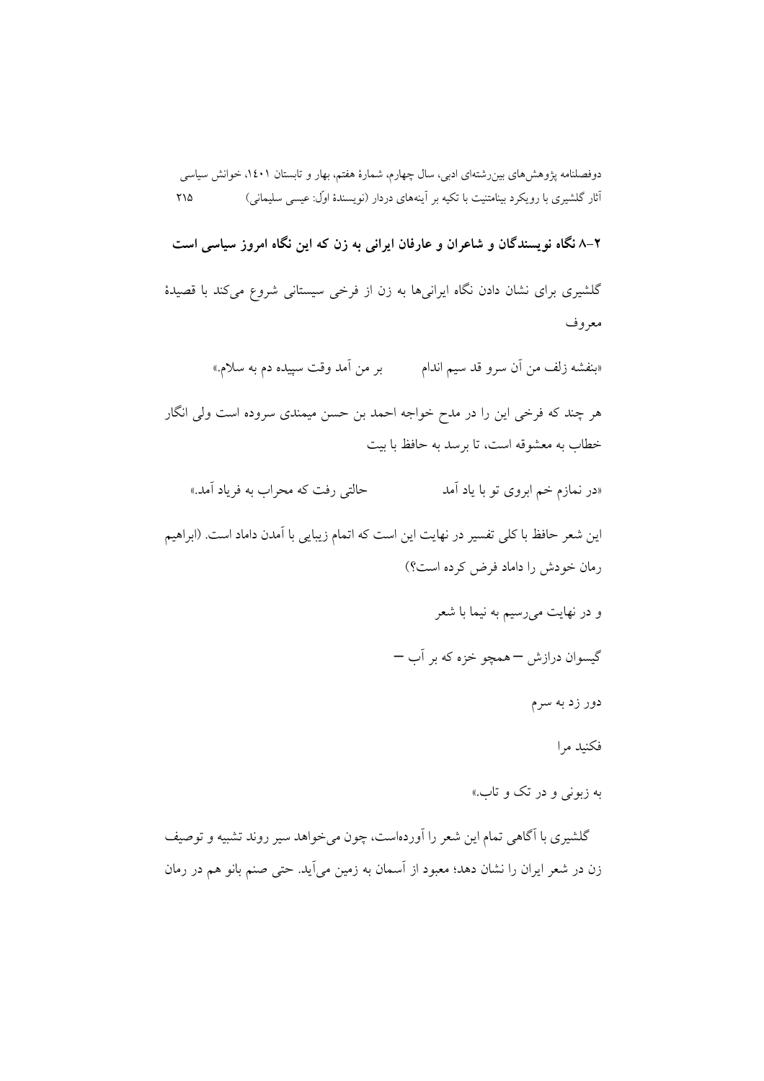۲–۸ نگاه نویسندگان و شاعران و عارفان ایرانی به زن که این نگاه امروز سیاسی است

گلشیری برای نشان دادن نگاه ایرانیها به زن از فرخی سیستانی شروع میکند با قصیدهٔ معروف

«بنفشه زلف من أن سرو قد سيم اندام بر من أمد وقت سپيده دم به سلام.»

هر چند که فرخی این را در مدح خواجه احمد بن حسن میمندی سروده است ولی انگار خطاب به معشوقه است، تا برسد به حافظ با بیت

«در نمازم خم ابروی تو با یاد آمد حالتي رفت كه محراب به فرياد آمد.»

این شعر حافظ با کلی تفسیر در نهایت این است که اتمام زیبایی با اَمدن داماد است. (ابراهیم رمان خودش را داماد فرض كرده است؟)

و در نهايت مي رسيم به نيما با شعر

گیسوان درازش — همچو خزه که بر آب —

دور زد به سرم

فكنيد مرا

به زبونی و در تک و تاب.»

گلشیری با آگاهی تمام این شعر را آوردهاست، چون میخواهد سیر روند تشبیه و توصیف زن در شعر ایران را نشان دهد؛ معبود از آسمان به زمین می]ید. حتی صنم بانو هم در رمان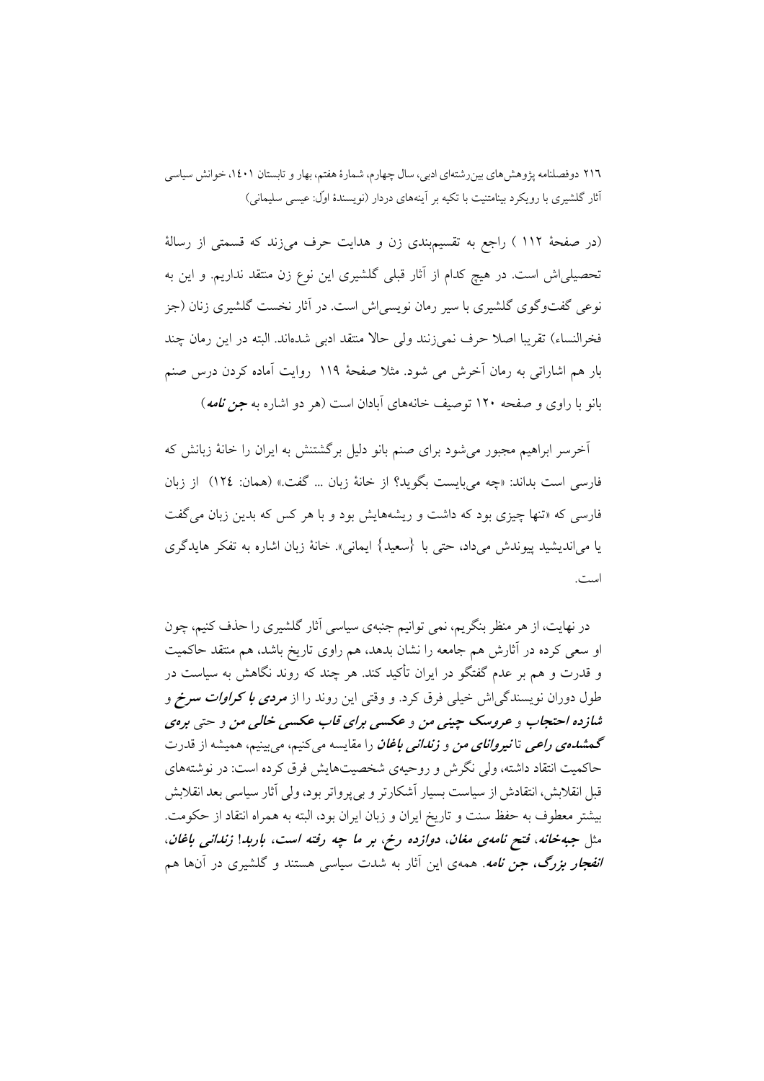(در صفحهٔ ۱۱۲ ) راجع به تقسیمبندی زن و هدایت حرف می(ند که قسمتی از رسالهٔ تحصیلیاش است. در هیچ کدام از آثار قبلی گلشیری این نوع زن منتقد نداریم. و این به نوعی گفتوگوی گلشیری با سیر رمان نویسی اش است. در آثار نخست گلشیری زنان (جز فخرالنساء) تقريبا اصلاً حرف نمي;نند ولي حالاً منتقد ادبي شدهاند. البته در اين رمان چند بار هم اشاراتی به رمان آخرش می شود. مثلاً صفحهٔ ۱۱۹ روایت آماده کردن درس صنع بانو با راوی و صفحه ۱۲۰ توصیف خانههای آبادان است (هر دو اشاره به *جن نامه*)

آخرسر ابراهیم مجبور میشود برای صنم بانو دلیل برگشتنش به ایران را خانهٔ زبانش که فارسي است بداند: «چه مي بايست بگويد؟ از خانهٔ زبان ... گفت.» (همان: ١٢٤) از زبان فارسی که «تنها چیزی بود که داشت و ریشههایش بود و با هر کس که بدین زبان می گفت يا مي|نديشيد پيوندش ميداد، حتى با {سعيد} ايماني». خانهٔ زبان اشاره به تفكر هايدگري است.

در نهایت، از هر منظر بنگریم، نمی توانیم جنبهی سیاسی آثار گلشیری را حذف کنیم، چون او سعی کرده در آثارش هم جامعه را نشان بدهد، هم راوی تاریخ باشد، هم منتقد حاکمیت و قدرت و هم بر عدم گفتگو در ایران تأکید کند. هر چند که روند نگاهش به سیاست در طول دوران نویسندگی|ش خیلی فرق کرد. و وقتی این روند را از *مردی با کراوات سرخ* و شازده احتجاب و عروسک چینی من و عکسی برای قاب عکسی خالبی من و حتی برهی **گمش***دهی راعی* **تانیر***وانای من* **و** *زندانی باغان* **را مقایسه می کنیم، می بینیم، همیشه از قدرت** حاکمیت انتقاد داشته، ولی نگرش و روحیهی شخصیتهایش فرق کرده است: در نوشتههای قبل انقلابش، انتقادش از سیاست بسیار آشکارتر و بیپرواتر بود، ولی آثار سیاسی بعد انقلابش بيشتر معطوف به حفظ سنت و تاريخ ايران و زبان ايران بود، البته به همراه انتقاد از حكومت. مثل جبهخانه، فتح نامهی مغان، دوازده رخ، بر ما چه رفته است، باربد! زندانی باغان، *انفجار بزرگ، جن نامه*. همهی این آثار به شدت سیاسی هستند و گلشیری در آنها هم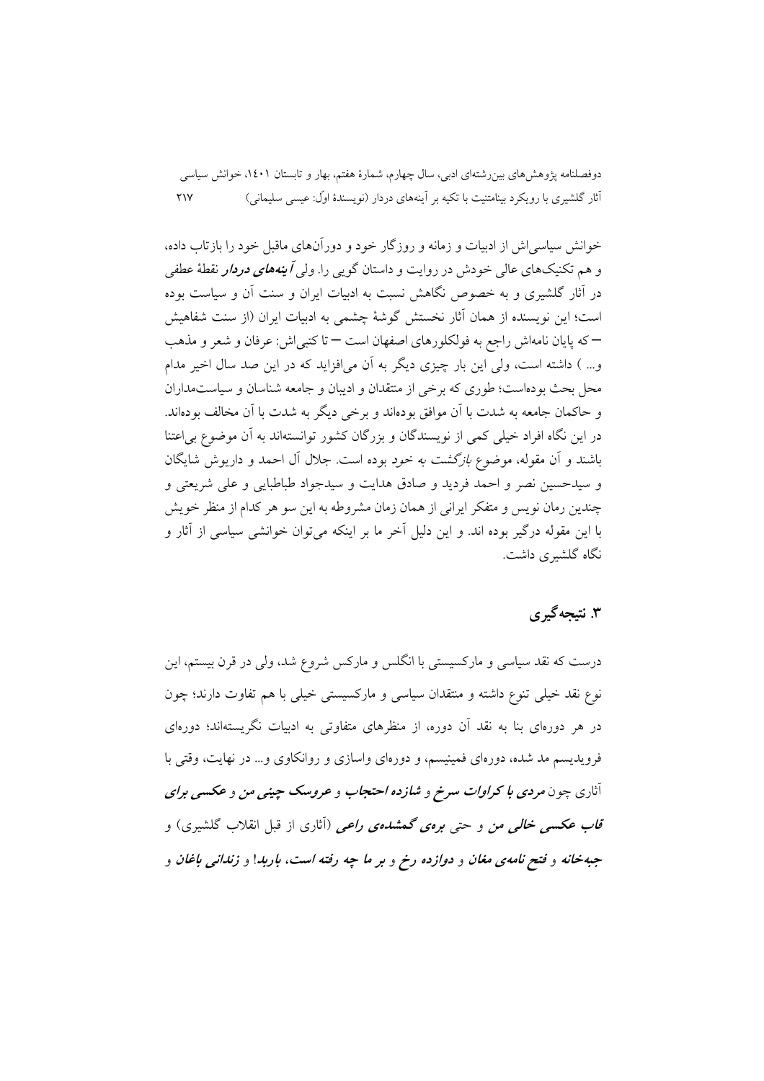خوانش سیاسی اش از ادبیات و زمانه و روزگار خود و دورآنهای ماقبل خود را بازتاب داده، و هم تکنیکهای عالی خودش در روایت و داستان گویی را. ول*ی آینههای دردار نقطهٔ عطف*ی در آثار گلشیری و به خصوص نگاهش نسبت به ادبیات ایران و سنت آن و سیاست بوده است؛ این نویسنده از همان آثار نخستش گوشهٔ چشمی به ادبیات ایران (از سنت شفاهیش –که پایان نامهاش راجع به فولکلورهای اصفهان است – تا کتبی(ش: عرفان و شعر و مذهب و… ) داشته است، ولي اين بار چيزي ديگر به آن مي(فزايد كه در اين صد سال اخير مدام محل بحث بودهاست؛ طوری که برخی از منتقدان و ادیبان و جامعه شناسان و سیاستمداران و حاکمان جامعه به شدت با آن موافق بودهاند و برخی دیگر به شدت با آن مخالف بودهاند. در این نگاه افراد خیلی کمی از نویسندگان و بزرگان کشور توانستهاند به آن موضوع بی|عتنا باشند و آن مقوله، موضوع *بازگشت به خود* بوده است. جلال آل احمد و داریوش شایگان و سيدحسين نصر و احمد فرديد و صادق هدايت و سيدجواد طباطبايي و على شريعتي و چندین رمان نویس و متفکر ایرانی از همان زمان مشروطه به این سو هر کدام از منظر خویش با این مقوله درگیر بوده اند. و این دلیل اَخر ما بر اینکه میتوان خوانشی سیاسی از اَثار و نگاه گلشبری داشت.

## ۳. نتىجەگىرى

درست که نقد سیاسی و مارکسیستی با انگلس و مارکس شروع شد، ولی در قرن بیستم، این نوع نقد خيلي تنوع داشته و منتقدان سياسي و ماركسيستي خيلي با هم تفاوت دارند؛ چون در هر دورهای بنا به نقد آن دوره، از منظرهای متفاوتی به ادبیات نگریستهاند؛ دورهای فرویدیسم مد شده، دورهای فمینیسم، و دورهای واسازی و روانکاوی و... در نهایت، وقتی با آثاري چون مرد*ي با كراوات سرخ* و *شازده احتجاب* و عروسك چين*ي من* و عكسي بر*اي* ۔<br>ق*اب عکسی خالبی من و حتی برەی گمشدہی راعی (آثاری از قبل انقلاب گلشیری) و* جبهخانه و فتح نامهی مغان و دوازده رخ و بر ما چه رفته است، باربدا و زندانی باغان و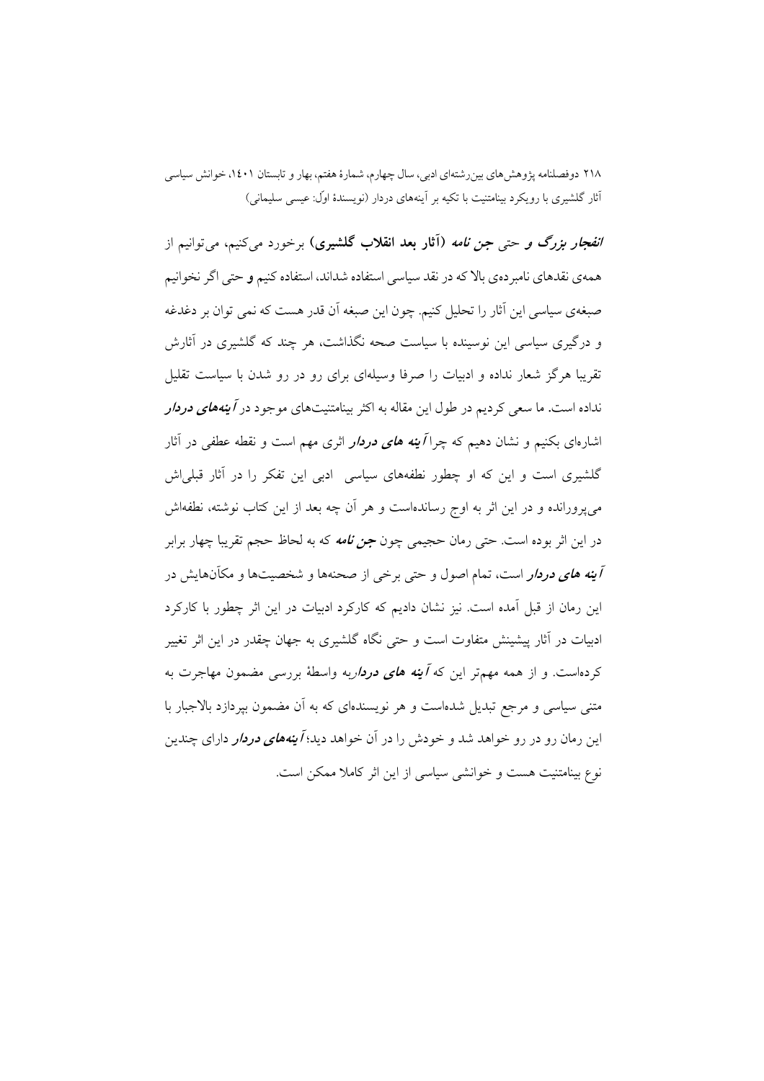*انفجار بزرگ و حتی جن نامه* (آثار بعد انقلاب گلشیری) برخورد میکنیم، میتوانیم از همه ی نقدهای نامبر دهی بالا که در نقد سیاسی استفاده شداند، استفاده کنیم و حتی اگر نخوانیم صبغهي سياسي اين آثار را تحليل كنيم. چون اين صبغه آن قدر هست كه نمي توان بر دغدغه و درگیری سیاسی این نوسینده با سیاست صحه نگذاشت، هر چند که گلشیری در آثارش تقریبا هرگز شعار نداده و ادبیات را صرفا وسیلهای برای رو در رو شدن با سیاست تقلیل نداده است. ما سعی کردیم در طول این مقاله به اکثر بینامتنیتهای موجود در *آینههای دردار* اشارهای بکنیم و نشان دهیم که چرا *آینه های دردار اثری مهم است و نقطه عطفی در* آثار گلشیری است و این که او چطور نطفههای سیاسی ادبی این تفکر را در آثار قبلیاش می،پرورانده و در این اثر به اوج رساندهاست و هر آن چه بعد از این کتاب نوشته، نطفهاش در این اثر بوده است. حتی رمان حجیمی چون *جن نامه* که به لحاظ حجم تقریبا چهار برابر آی*نه های دردار* است، تمام اصول و حتی برخی از صحنهها و شخصیتها و مکاّنهایش در این رمان از قبل آمده است. نیز نشان دادیم که کارکرد ادبیات در این اثر چطور با کارکرد ادبیات در آثار پیشینش متفاوت است و حتی نگاه گلشیری به جهان چقدر در این اثر تغییر کردهاست. و از همه مهمتر این که *آینه های دردار*به واسطهٔ بررسی مضمون مهاجرت به متنی سیاسی و مرجع تبدیل شدهاست و هر نویسندهای که به آن مضمون بیردازد بالاجبار با این رمان رو در رو خواهد شد و خودش را در آن خواهد دید؛ *آ ینههای دردار* دارای چندین نوع بینامتنیت هست و خوانشی سیاسی از این اثر کاملا ممکن است.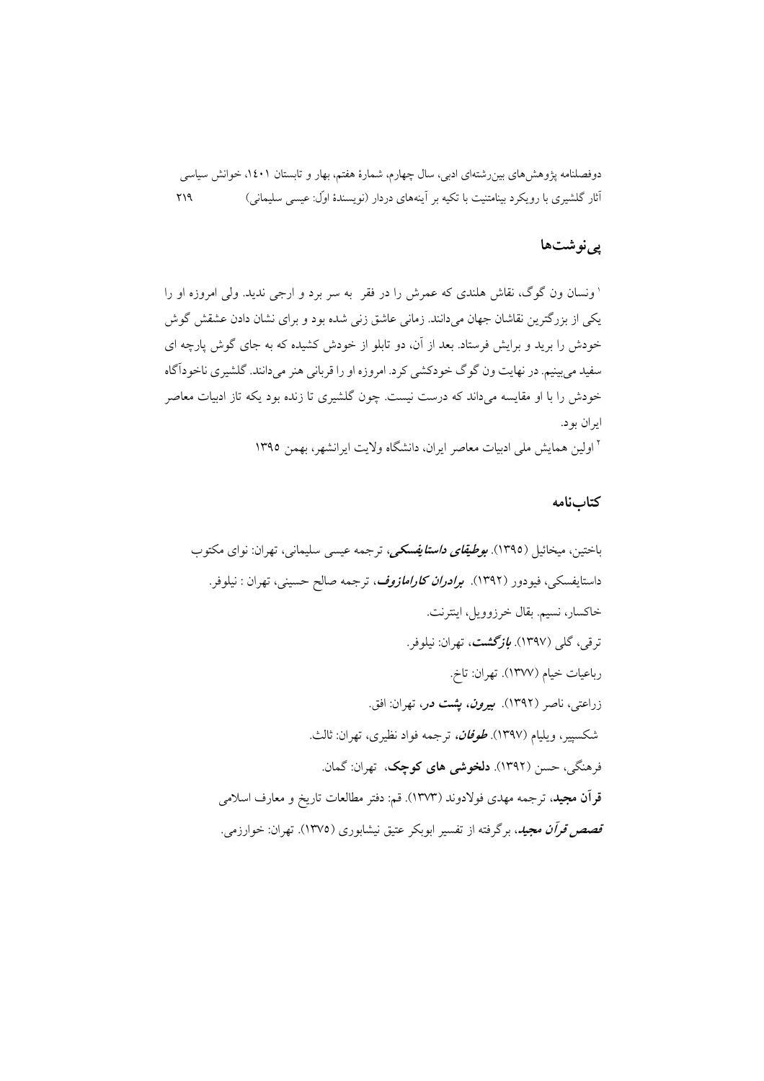## یے نوشتها

' ونسان ون گوگ، نقاش هلندی که عمرش را در فقر به سر برد و ارجی ندید. ولی امروزه او را یکی از بزرگترین نقاشان جهان میدانند. زمانی عاشق زنی شده بود و برای نشان دادن عشقش گوش خودش را برید و برایش فرستاد. بعد از آن، دو تابلو از خودش کشیده که به جای گوش پارچه ای سفید می بینیم. در نهایت ون گوگ خودکشی کرد. امروزه او را قربانی هنر میدانند. گلشیری ناخودآگاه خودش را با او مقایسه میداند که درست نیست. چون گلشیری تا زنده بود یکه تاز ادبیات معاصر ايران بود. <sup>۲</sup> اولین همایش مل<sub>ی</sub> ادبیات معاصر ایران، دانشگاه ولایت ایرانشهر، بهمن ۱۳۹۵

#### كتابنامه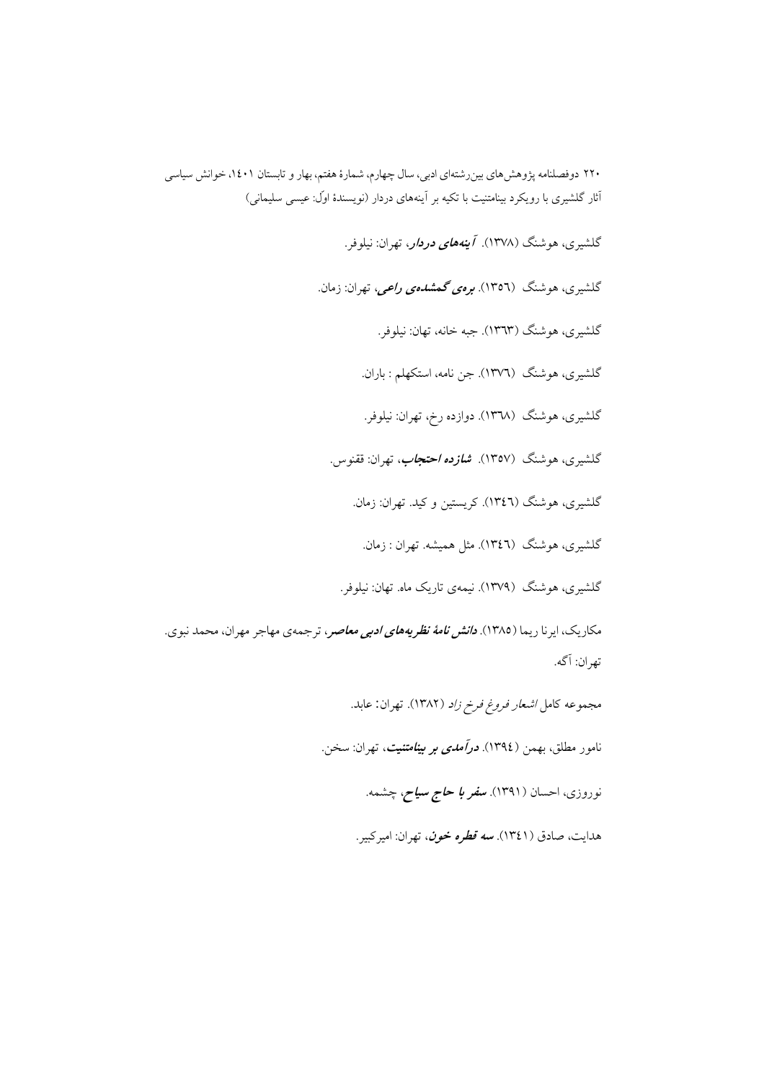گلشبری، هوشنگ (۱۳۷۸). *آینههای دردار، تهران: نیلوف*ر.

گلشیری، هوشنگ (۱۳۵٦). *برەی گمشدەی راعی،* تهران: زمان.

گلشيږي، هوشنگ (١٣٦٣). جبه خانه، تهان: نيلوفر.

گلشیری، هوشنگ (۱۳۷٦). جن نامه، استکهلم : باران.

گلشیری، هوشنگ (۱۳۶۸). دوازده رخ، تهران: نیلوفر.

گلشیری، هوشنگ (۱۳۵۷). *شازده احتجاب***،** تهران: ققنوس.

گلشیری، هوشنگ (١٣٤٦). کریستین و کید. تهران: زمان.

گلشیری، هوشنگ (١٣٤٦). مثل همیشه. تهران : زمان.

گلشیری، هوشنگ (۱۳۷۹). نیمهی تاریک ماه. تهان: نیلوفر.

مکاریک، ایرنا ریما (۱۳۸۵). **د***انش نامهٔ نظریههای ادبی معاصر***،** ترجمهی مهاجر مهران، محمد نبوی. تهران: آگه.

مجموعه كامل *اشعار فروغ فرخ زاد* (١٣٨٢). تهران: عابد.

نامور مطلق، بهمن (١٣٩٤). *درآمدی بر بینامتنیت*، تهران: سخن.

نوروزی، احسان (۱۳۹۱). **س***فر با حاج سیاح، چشمه.* 

هدايت، صادق (١٣٤١). *سه قطره خون*، تهران: اميركبير.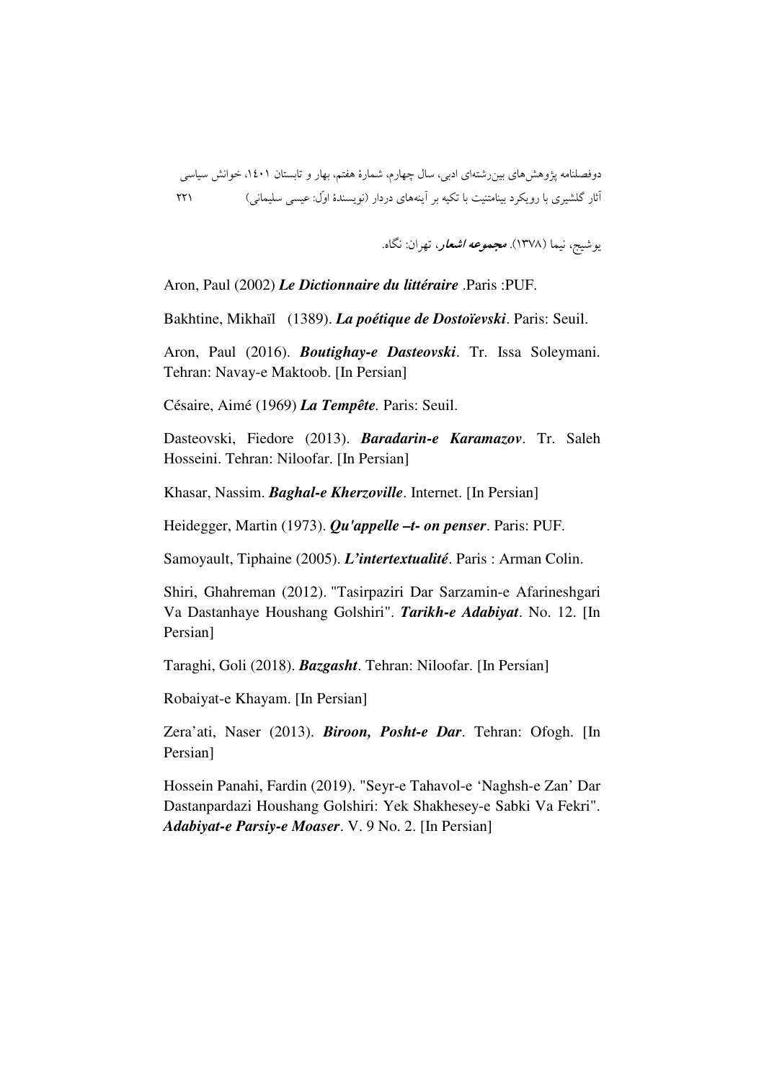يوشيج، نيما (١٣٧٨). *مجموعه اشعار*، تهران: نگاه.

Aron, Paul (2002) *Le Dictionnaire du littéraire* .Paris :PUF.

Bakhtine, Mikhaïl (1389). *La poétique de Dostoïevski*. Paris: Seuil.

Aron, Paul (2016). *Boutighay-e Dasteovski*. Tr. Issa Soleymani. Tehran: Navay-e Maktoob. [In Persian]

Césaire, Aimé (1969) *La Tempête.* Paris: Seuil.

Dasteovski, Fiedore (2013). *Baradarin-e Karamazov*. Tr. Saleh Hosseini. Tehran: Niloofar. [In Persian]

Khasar, Nassim. *Baghal-e Kherzoville*. Internet. [In Persian]

Heidegger, Martin (1973). *Qu'appelle –t- on penser*. Paris: PUF.

Samoyault, Tiphaine (2005). *L'intertextualité*. Paris : Arman Colin.

Shiri, Ghahreman (2012). "Tasirpaziri Dar Sarzamin-e Afarineshgari Va Dastanhaye Houshang Golshiri". *Tarikh-e Adabiyat*. No. 12. [In Persian]

Taraghi, Goli (2018). *Bazgasht*. Tehran: Niloofar. [In Persian]

Robaiyat-e Khayam. [In Persian]

Zera'ati, Naser (2013). *Biroon, Posht-e Dar*. Tehran: Ofogh. [In Persian]

Hossein Panahi, Fardin (2019). "Seyr-e Tahavol-e 'Naghsh-e Zan' Dar Dastanpardazi Houshang Golshiri: Yek Shakhesey-e Sabki Va Fekri". *Adabiyat-e Parsiy-e Moaser*. V. 9 No. 2. [In Persian]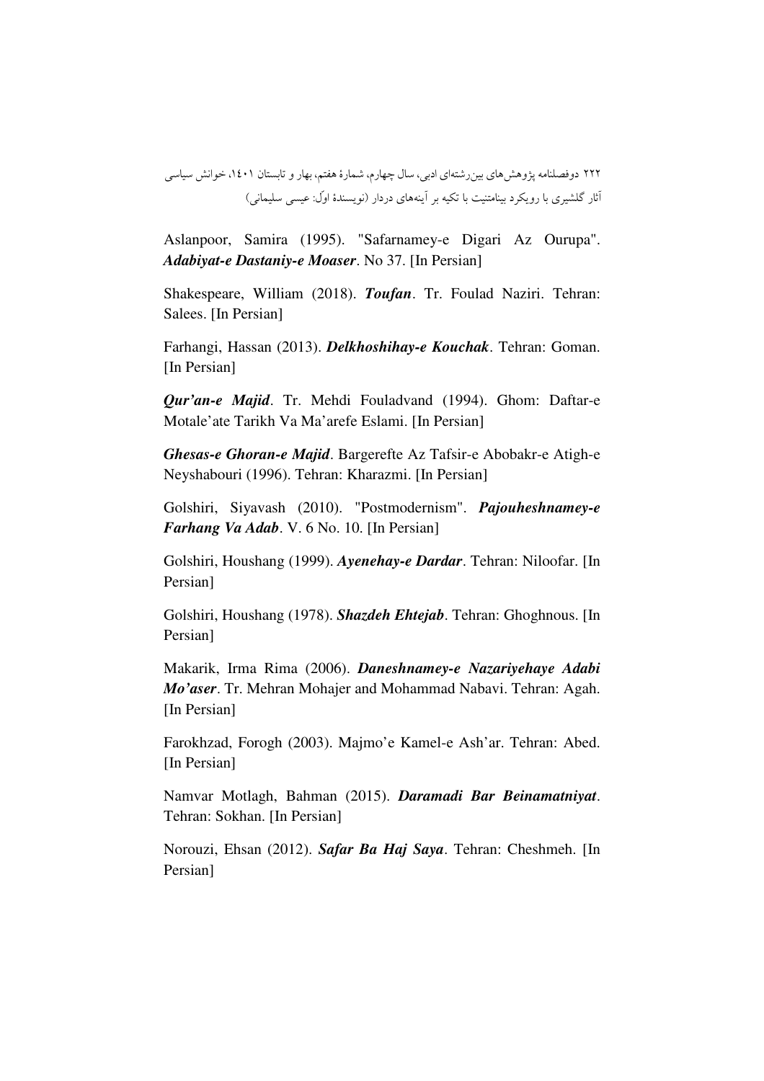Aslanpoor, Samira (1995). "Safarnamey-e Digari Az Ourupa". *Adabiyat-e Dastaniy-e Moaser*. No 37. [In Persian]

Shakespeare, William (2018). *Toufan*. Tr. Foulad Naziri. Tehran: Salees. [In Persian]

Farhangi, Hassan (2013). *Delkhoshihay-e Kouchak*. Tehran: Goman. [In Persian]

*Qur'an-e Majid*. Tr. Mehdi Fouladvand (1994). Ghom: Daftar-e Motale'ate Tarikh Va Ma'arefe Eslami. [In Persian]

*Ghesas-e Ghoran-e Majid*. Bargerefte Az Tafsir-e Abobakr-e Atigh-e Neyshabouri (1996). Tehran: Kharazmi. [In Persian]

Golshiri, Siyavash (2010). "Postmodernism". *Pajouheshnamey-e Farhang Va Adab*. V. 6 No. 10. [In Persian]

Golshiri, Houshang (1999). *Ayenehay-e Dardar*. Tehran: Niloofar. [In Persian]

Golshiri, Houshang (1978). *Shazdeh Ehtejab*. Tehran: Ghoghnous. [In Persian]

Makarik, Irma Rima (2006). *Daneshnamey-e Nazariyehaye Adabi Mo'aser*. Tr. Mehran Mohajer and Mohammad Nabavi. Tehran: Agah. [In Persian]

Farokhzad, Forogh (2003). Majmo'e Kamel-e Ash'ar. Tehran: Abed. [In Persian]

Namvar Motlagh, Bahman (2015). *Daramadi Bar Beinamatniyat*. Tehran: Sokhan. [In Persian]

Norouzi, Ehsan (2012). *Safar Ba Haj Saya*. Tehran: Cheshmeh. [In Persian]